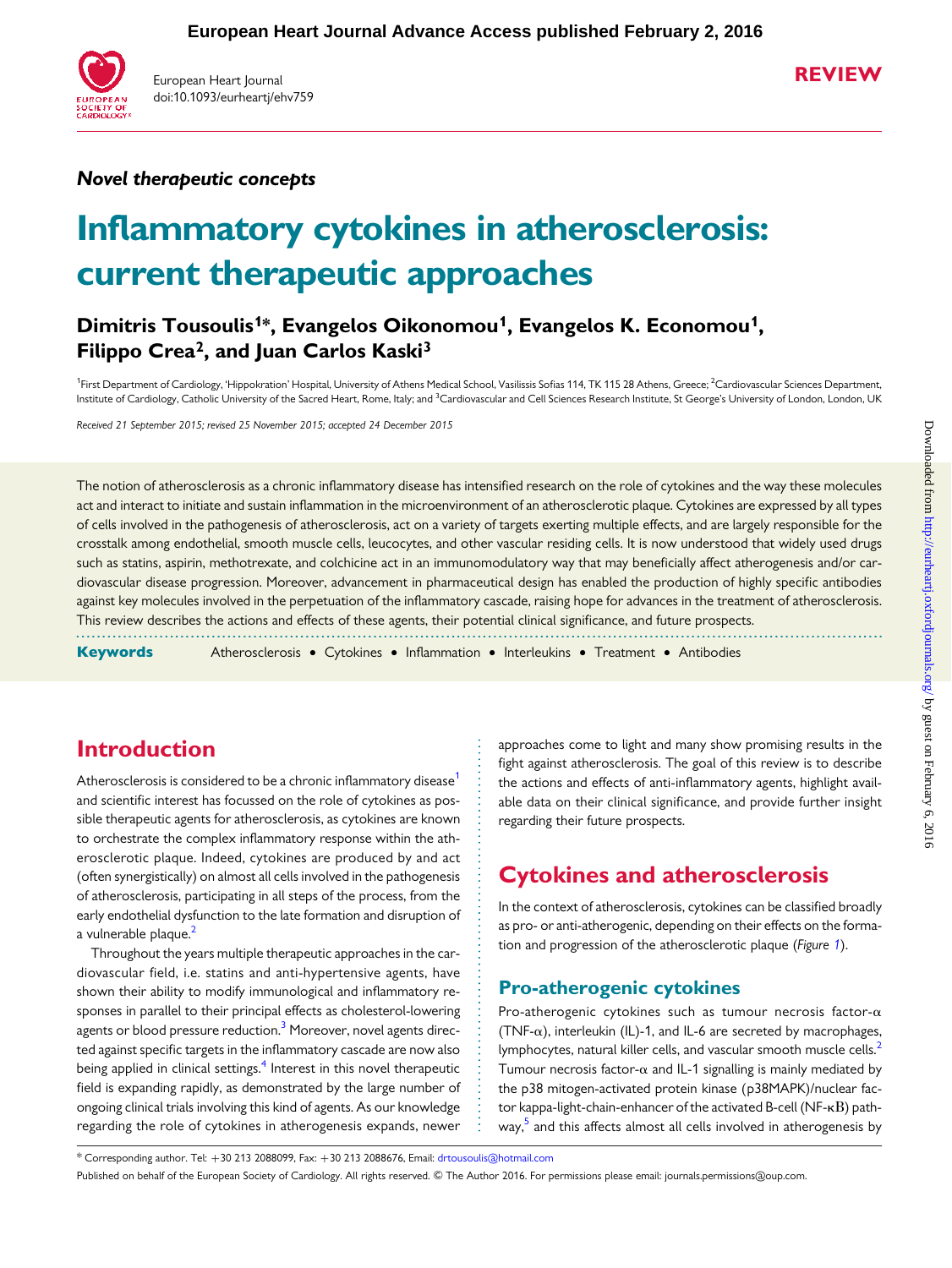

European Heart Journal doi:10.1093/eurheartj/ehv759 REVIEW

### Novel therapeutic concepts

# Inflammatory cytokines in atherosclerosis: current therapeutic approaches

# Dimitris Tousoulis<sup>1\*</sup>, Evangelos Oikonomou<sup>1</sup>, Evangelos K. Economou<sup>1</sup>, Filippo Crea<sup>2</sup>, and Juan Carlos Kaski<sup>3</sup>

<sup>1</sup>First Department of Cardiology, 'Hippokration' Hospital, University of Athens Medical School, Vasilissis Sofias 114, TK 115 28 Athens, Greece; <sup>2</sup>Cardiovascular Sciences Department Institute of Cardiology, Catholic University of the Sacred Heart, Rome, Italy; and <sup>3</sup>Cardiovascular and Cell Sciences Research Institute, St George's University of London, London, UK

Received 21 September 2015; revised 25 November 2015; accepted 24 December 2015

The notion of atherosclerosis as a chronic inflammatory disease has intensified research on the role of cytokines and the way these molecules act and interact to initiate and sustain inflammation in the microenvironment of an atherosclerotic plaque. Cytokines are expressed by all types of cells involved in the pathogenesis of atherosclerosis, act on a variety of targets exerting multiple effects, and are largely responsible for the crosstalk among endothelial, smooth muscle cells, leucocytes, and other vascular residing cells. It is now understood that widely used drugs such as statins, aspirin, methotrexate, and colchicine act in an immunomodulatory way that may beneficially affect atherogenesis and/or cardiovascular disease progression. Moreover, advancement in pharmaceutical design has enabled the production of highly specific antibodies against key molecules involved in the perpetuation of the inflammatory cascade, raising hope for advances in the treatment of atherosclerosis. This review describes the actions and effects of these agents, their potential clinical significance, and future prospects.

-----------------------------------------------------------------------------------------------------------------------------------------------------------

Keywords Atherosclerosis • Cytokines • Inflammation • Interleukins • Treatment • Antibodies

# Introduction

Atherosclerosis is considered to be a chronic inflammatory disease<sup>[1](#page-9-0)</sup> and scientific interest has focussed on the role of cytokines as possible therapeutic agents for atherosclerosis, as cytokines are known to orchestrate the complex inflammatory response within the atherosclerotic plaque. Indeed, cytokines are produced by and act (often synergistically) on almost all cells involved in the pathogenesis of atherosclerosis, participating in all steps of the process, from the early endothelial dysfunction to the late formation and disruption of a vulnerable plaque.<sup>[2](#page-9-0)</sup>

Throughout the years multiple therapeutic approaches in the cardiovascular field, i.e. statins and anti-hypertensive agents, have shown their ability to modify immunological and inflammatory responses in parallel to their principal effects as cholesterol-lowering agents or blood pressure reduction.<sup>[3](#page-9-0)</sup> Moreover, novel agents directed against specific targets in the inflammatory cascade are now also being applied in clinical settings.<sup>[4](#page-9-0)</sup> Interest in this novel therapeutic field is expanding rapidly, as demonstrated by the large number of ongoing clinical trials involving this kind of agents. As our knowledge regarding the role of cytokines in atherogenesis expands, newer

approaches come to light and many show promising results in the fight against atherosclerosis. The goal of this review is to describe the actions and effects of anti-inflammatory agents, highlight available data on their clinical significance, and provide further insight regarding their future prospects.

# Cytokines and atherosclerosis

In the context of atherosclerosis, cytokines can be classified broadly as pro- or anti-atherogenic, depending on their effects on the formation and progression of the atherosclerotic plaque (Figure [1](#page-1-0)).

### Pro-atherogenic cytokines

Pro-atherogenic cytokines such as tumour necrosis factor- $\alpha$ (TNF- $\alpha$ ), interleukin (IL)-1, and IL-6 are secreted by macrophages, lymphocytes, natural killer cells, and vascular smooth muscle cells.<sup>[2](#page-9-0)</sup> Tumour necrosis factor- $\alpha$  and IL-1 signalling is mainly mediated by the p38 mitogen-activated protein kinase (p38MAPK)/nuclear factor kappa-light-chain-enhancer of the activated B-cell (NF-kB) path-way,<sup>[5](#page-9-0)</sup> and this affects almost all cells involved in atherogenesis by

\* Corresponding author. Tel: +30 213 2088099, Fax: +30 213 2088676, Email: [drtousoulis@hotmail.com](mailto:drtousoulis@hotmail.com) Published on behalf of the European Society of Cardiology. All rights reserved. © The Author 2016. For permissions please email: journals.permissions@oup.com.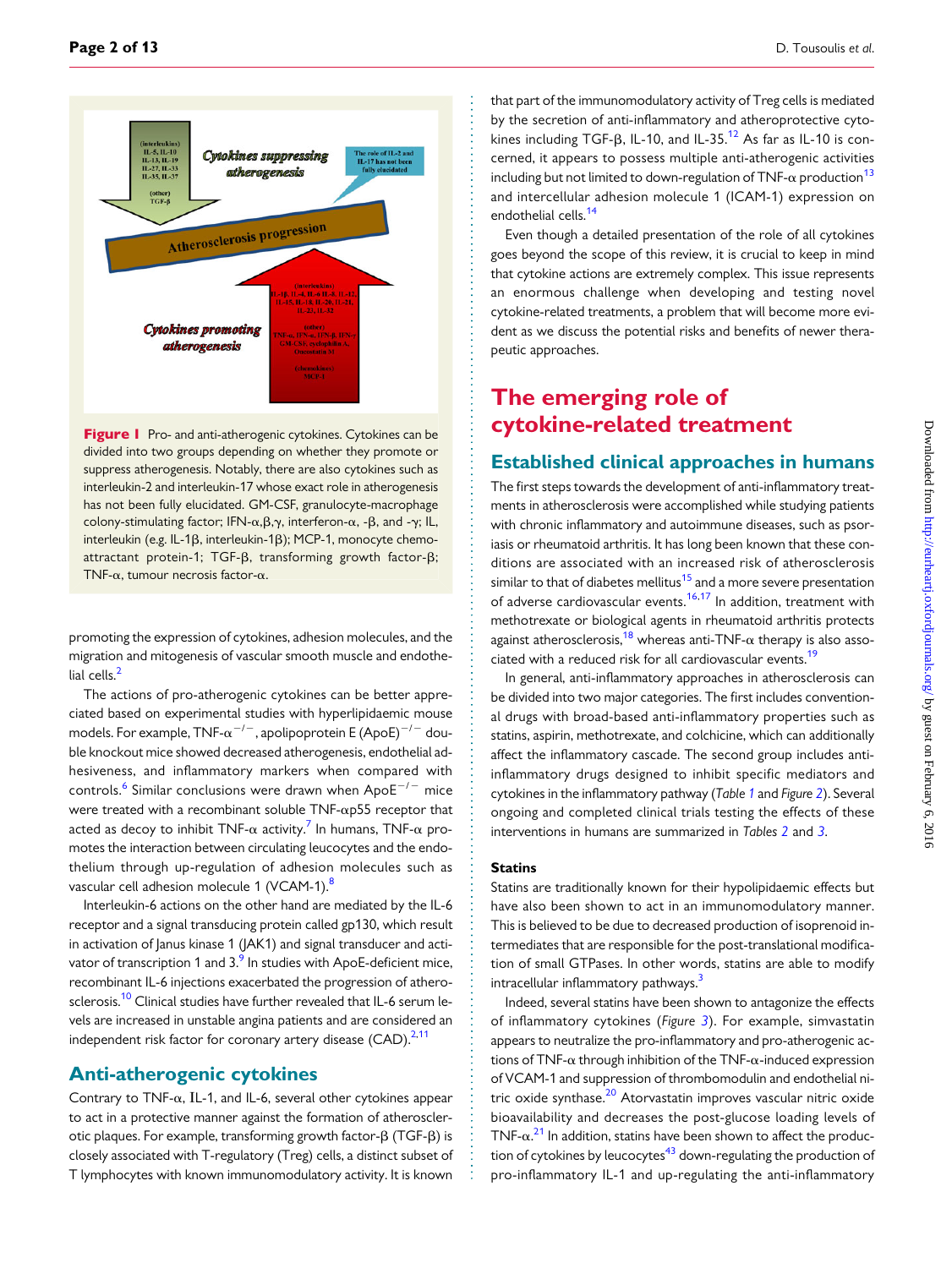<span id="page-1-0"></span>

Figure 1 Pro- and anti-atherogenic cytokines. Cytokines can be divided into two groups depending on whether they promote or suppress atherogenesis. Notably, there are also cytokines such as interleukin-2 and interleukin-17 whose exact role in atherogenesis has not been fully elucidated. GM-CSF, granulocyte-macrophage colony-stimulating factor; IFN- $\alpha, \beta, \gamma$ , interferon- $\alpha$ , - $\beta$ , and - $\gamma$ ; IL, interleukin (e.g. IL-1 $\beta$ , interleukin-1 $\beta$ ); MCP-1, monocyte chemoattractant protein-1;  $TGF- $\beta$ , transforming growth factor- $\beta$ ;$ TNF- $\alpha$ , tumour necrosis factor- $\alpha$ .

promoting the expression of cytokines, adhesion molecules, and the migration and mitogenesis of vascular smooth muscle and endothe-lial cells.<sup>[2](#page-9-0)</sup>

The actions of pro-atherogenic cytokines can be better appreciated based on experimental studies with hyperlipidaemic mouse models. For example, TNF- $\alpha^{-/-}$ , apolipoprotein E (ApoE)<sup>-/-</sup> double knockout mice showed decreased atherogenesis, endothelial adhesiveness, and inflammatory markers when compared with controls.<sup>[6](#page-10-0)</sup> Similar conclusions were drawn when  $ApoE^{-/-}$  mice were treated with a recombinant soluble  $TNF$ - $\alpha$ p55 receptor that acted as decoy to inhibit TNF- $\alpha$  activity.<sup>[7](#page-10-0)</sup> In humans, TNF- $\alpha$  promotes the interaction between circulating leucocytes and the endothelium through up-regulation of adhesion molecules such as vascular cell adhesion molecule 1 (VCAM-1).<sup>[8](#page-10-0)</sup>

Interleukin-6 actions on the other hand are mediated by the IL-6 receptor and a signal transducing protein called gp130, which result in activation of Janus kinase 1 (JAK1) and signal transducer and activator of transcription 1 and  $3<sup>9</sup>$  $3<sup>9</sup>$  $3<sup>9</sup>$  In studies with ApoE-deficient mice, recombinant IL-6 injections exacerbated the progression of athero-sclerosis.<sup>[10](#page-10-0)</sup> Clinical studies have further revealed that IL-6 serum levels are increased in unstable angina patients and are considered an independent risk factor for coronary artery disease (CAD).<sup>2,[11](#page-10-0)</sup>

#### Anti-atherogenic cytokines

Contrary to TNF- $\alpha$ , IL-1, and IL-6, several other cytokines appear to act in a protective manner against the formation of atherosclerotic plaques. For example, transforming growth factor- $\beta$  (TGF- $\beta$ ) is closely associated with T-regulatory (Treg) cells, a distinct subset of T lymphocytes with known immunomodulatory activity. It is known

that part of the immunomodulatory activity of Treg cells is mediated by the secretion of anti-inflammatory and atheroprotective cytokines including TGF- $\beta$ , IL-10, and IL-35.<sup>[12](#page-10-0)</sup> As far as IL-10 is concerned, it appears to possess multiple anti-atherogenic activities including but not limited to down-regulation of TNF- $\alpha$  production<sup>[13](#page-10-0)</sup> and intercellular adhesion molecule 1 (ICAM-1) expression on endothelial cells.<sup>[14](#page-10-0)</sup>

Even though a detailed presentation of the role of all cytokines goes beyond the scope of this review, it is crucial to keep in mind that cytokine actions are extremely complex. This issue represents an enormous challenge when developing and testing novel cytokine-related treatments, a problem that will become more evident as we discuss the potential risks and benefits of newer therapeutic approaches.

# The emerging role of cytokine-related treatment

#### Established clinical approaches in humans

The first steps towards the development of anti-inflammatory treatments in atherosclerosis were accomplished while studying patients with chronic inflammatory and autoimmune diseases, such as psoriasis or rheumatoid arthritis. It has long been known that these conditions are associated with an increased risk of atherosclerosis similar to that of diabetes mellitus<sup>[15](#page-10-0)</sup> and a more severe presentation of adverse cardiovascular events.<sup>[16,17](#page-10-0)</sup> In addition, treatment with methotrexate or biological agents in rheumatoid arthritis protects against atherosclerosis,<sup>[18](#page-10-0)</sup> whereas anti-TNF- $\alpha$  therapy is also asso-ciated with a reduced risk for all cardiovascular events.<sup>[19](#page-10-0)</sup>

In general, anti-inflammatory approaches in atherosclerosis can be divided into two major categories. The first includes conventional drugs with broad-based anti-inflammatory properties such as statins, aspirin, methotrexate, and colchicine, which can additionally affect the inflammatory cascade. The second group includes antiinflammatory drugs designed to inhibit specific mediators and cytokines in the inflammatory pathway (Table [1](#page-2-0) and Figure [2](#page-3-0)). Several ongoing and completed clinical trials testing the effects of these interventions in humans are summarized in Tables [2](#page-4-0) and [3](#page-5-0).

#### **Statins**

Statins are traditionally known for their hypolipidaemic effects but have also been shown to act in an immunomodulatory manner. This is believed to be due to decreased production of isoprenoid intermediates that are responsible for the post-translational modification of small GTPases. In other words, statins are able to modify intracellular inflammatory pathways.<sup>[3](#page-9-0)</sup>

Indeed, several statins have been shown to antagonize the effects of inflammatory cytokines (Figure [3](#page-6-0)). For example, simvastatin appears to neutralize the pro-inflammatory and pro-atherogenic actions of TNF- $\alpha$  through inhibition of the TNF- $\alpha$ -induced expression of VCAM-1 and suppression of thrombomodulin and endothelial ni-tric oxide synthase.<sup>[20](#page-10-0)</sup> Atorvastatin improves vascular nitric oxide bioavailability and decreases the post-glucose loading levels of TNF- $\alpha$ <sup>[21](#page-10-0)</sup> In addition, statins have been shown to affect the production of cytokines by leucocytes<sup>43</sup> down-regulating the production of pro-inflammatory IL-1 and up-regulating the anti-inflammatory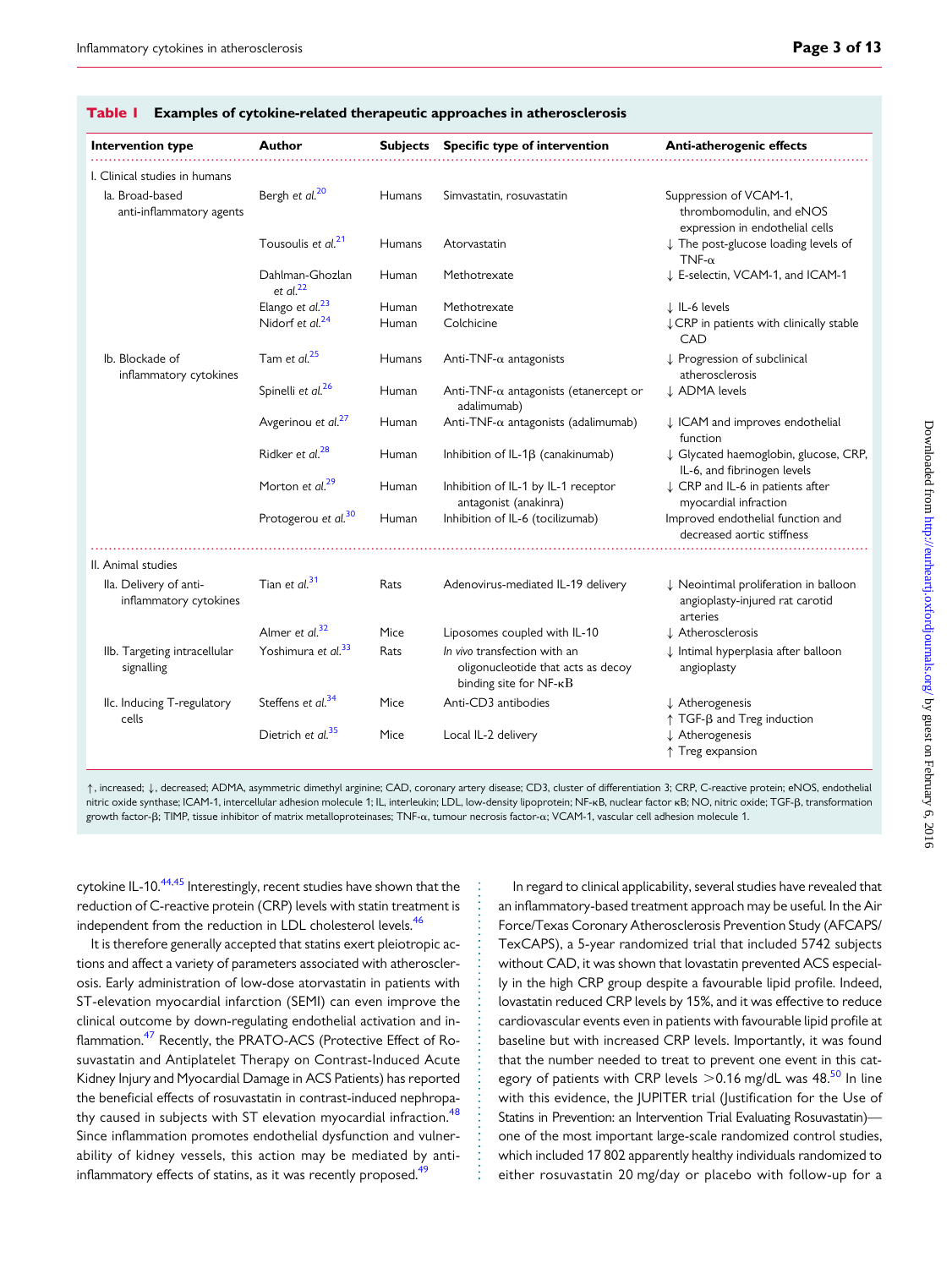| <b>Intervention type</b>                         | Author                          | Subjects | <b>Specific type of intervention</b>                                                                     | Anti-atherogenic effects                                                              |
|--------------------------------------------------|---------------------------------|----------|----------------------------------------------------------------------------------------------------------|---------------------------------------------------------------------------------------|
| I. Clinical studies in humans                    |                                 |          |                                                                                                          |                                                                                       |
| la. Broad-based<br>anti-inflammatory agents      | Bergh et al. <sup>20</sup>      | Humans   | Simvastatin, rosuvastatin                                                                                | Suppression of VCAM-1,<br>thrombomodulin, and eNOS<br>expression in endothelial cells |
|                                                  | Tousoulis et al. <sup>21</sup>  | Humans   | Atorvastatin                                                                                             | I The post-glucose loading levels of<br>TNF- $\alpha$                                 |
|                                                  | Dahlman-Ghozlan<br>et $al^{22}$ | Human    | Methotrexate                                                                                             | ↓ E-selectin, VCAM-1, and ICAM-1                                                      |
|                                                  | Elango et $al^{23}$             | Human    | Methotrexate                                                                                             | $\downarrow$ IL-6 levels                                                              |
|                                                  | Nidorf et al. <sup>24</sup>     | Human    | Colchicine                                                                                               | ↓ CRP in patients with clinically stable<br>CAD                                       |
| Ib. Blockade of<br>inflammatory cytokines        | Tam et al. <sup>25</sup>        | Humans   | Anti-TNF- $\alpha$ antagonists                                                                           | ↓ Progression of subclinical<br>atherosclerosis                                       |
|                                                  | Spinelli et al. <sup>26</sup>   | Human    | Anti-TNF- $\alpha$ antagonists (etanercept or<br>adalimumab)                                             | ↓ ADMA levels                                                                         |
|                                                  | Avgerinou et al. <sup>27</sup>  | Human    | Anti-TNF- $\alpha$ antagonists (adalimumab)                                                              | ↓ ICAM and improves endothelial<br>function                                           |
|                                                  | Ridker et al. <sup>28</sup>     | Human    | Inhibition of IL-1 <sub>B</sub> (canakinumab)                                                            | ↓ Glycated haemoglobin, glucose, CRP,<br>IL-6, and fibrinogen levels                  |
|                                                  | Morton et al. <sup>29</sup>     | Human    | Inhibition of IL-1 by IL-1 receptor<br>antagonist (anakinra)                                             | ↓ CRP and IL-6 in patients after<br>myocardial infraction                             |
|                                                  | Protogerou et al. <sup>30</sup> | Human    | Inhibition of IL-6 (tocilizumab)                                                                         | Improved endothelial function and<br>decreased aortic stiffness                       |
| II. Animal studies                               |                                 |          |                                                                                                          |                                                                                       |
| Ila. Delivery of anti-<br>inflammatory cytokines | Tian et al. <sup>31</sup>       | Rats     | Adenovirus-mediated IL-19 delivery                                                                       | ↓ Neointimal proliferation in balloon<br>angioplasty-injured rat carotid<br>arteries  |
|                                                  | Almer et $al^{32}$              | Mice     | Liposomes coupled with IL-10                                                                             | ↓ Atherosclerosis                                                                     |
| Ilb. Targeting intracellular<br>signalling       | Yoshimura et al. <sup>33</sup>  | Rats     | In vivo transfection with an<br>oligonucleotide that acts as decoy<br>binding site for NF- <sub>KB</sub> | $\downarrow$ Intimal hyperplasia after balloon<br>angioplasty                         |
| Ilc. Inducing T-regulatory<br>cells              | Steffens et al. <sup>34</sup>   | Mice     | Anti-CD3 antibodies                                                                                      | ↓ Atherogenesis<br>$\uparrow$ TGF- $\upbeta$ and Treg induction                       |
|                                                  | Dietrich et al. <sup>35</sup>   | Mice     | Local IL-2 delivery                                                                                      | ↓ Atherogenesis<br>↑ Treg expansion                                                   |

#### <span id="page-2-0"></span>Table 1 Examples of cytokine-related therapeutic approaches in atherosclerosis

↑, increased; ↓, decreased; ADMA, asymmetric dimethyl arginine; CAD, coronary artery disease; CD3, cluster of differentiation 3; CRP, C-reactive protein; eNOS, endothelial nitric oxide synthase; ICAM-1, intercellular adhesion molecule 1; IL, interleukin; LDL, low-density lipoprotein; NF-kB, nuclear factor kB; NO, nitric oxide; TGF-ß, transformation growth factor-b; TIMP, tissue inhibitor of matrix metalloproteinases; TNF-a, tumour necrosis factor-a; VCAM-1, vascular cell adhesion molecule 1.

cytokine IL-10.<sup>[44](#page-10-0),[45](#page-10-0)</sup> Interestingly, recent studies have shown that the reduction of C-reactive protein (CRP) levels with statin treatment is independent from the reduction in LDL cholesterol levels.<sup>[46](#page-10-0)</sup>

It is therefore generally accepted that statins exert pleiotropic actions and affect a variety of parameters associated with atherosclerosis. Early administration of low-dose atorvastatin in patients with ST-elevation myocardial infarction (SEMI) can even improve the clinical outcome by down-regulating endothelial activation and in-flammation.<sup>[47](#page-10-0)</sup> Recently, the PRATO-ACS (Protective Effect of Rosuvastatin and Antiplatelet Therapy on Contrast-Induced Acute Kidney Injury and Myocardial Damage in ACS Patients) has reported the beneficial effects of rosuvastatin in contrast-induced nephropa-thy caused in subjects with ST elevation myocardial infraction.<sup>[48](#page-11-0)</sup> Since inflammation promotes endothelial dysfunction and vulnerability of kidney vessels, this action may be mediated by anti-inflammatory effects of statins, as it was recently proposed.<sup>[49](#page-11-0)</sup>

In regard to clinical applicability, several studies have revealed that an inflammatory-based treatment approach may be useful. In the Air Force/Texas Coronary Atherosclerosis Prevention Study (AFCAPS/ TexCAPS), a 5-year randomized trial that included 5742 subjects without CAD, it was shown that lovastatin prevented ACS especially in the high CRP group despite a favourable lipid profile. Indeed, lovastatin reduced CRP levels by 15%, and it was effective to reduce cardiovascular events even in patients with favourable lipid profile at baseline but with increased CRP levels. Importantly, it was found that the number needed to treat to prevent one event in this category of patients with CRP levels  $>$  0.16 mg/dL was 48.<sup>[50](#page-11-0)</sup> In line with this evidence, the JUPITER trial (Justification for the Use of Statins in Prevention: an Intervention Trial Evaluating Rosuvastatin) one of the most important large-scale randomized control studies, which included 17 802 apparently healthy individuals randomized to either rosuvastatin 20 mg/day or placebo with follow-up for a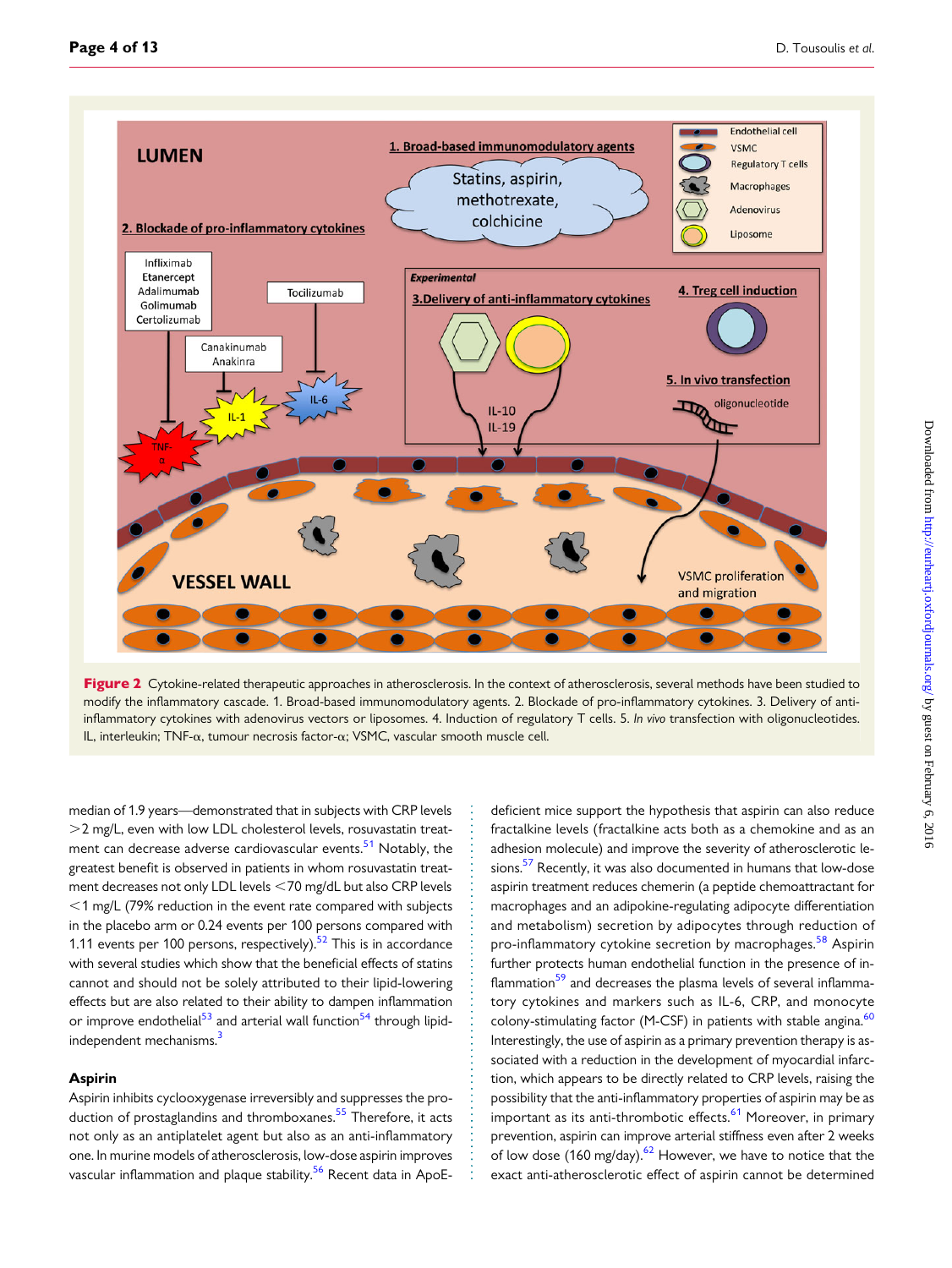<span id="page-3-0"></span>

Figure 2 Cytokine-related therapeutic approaches in atherosclerosis. In the context of atherosclerosis, several methods have been studied to modify the inflammatory cascade. 1. Broad-based immunomodulatory agents. 2. Blockade of pro-inflammatory cytokines. 3. Delivery of antiinflammatory cytokines with adenovirus vectors or liposomes. 4. Induction of regulatory T cells. 5. In vivo transfection with oligonucleotides. IL, interleukin; TNF-a, tumour necrosis factor-a; VSMC, vascular smooth muscle cell.

median of 1.9 years—demonstrated that in subjects with CRP levels .2 mg/L, even with low LDL cholesterol levels, rosuvastatin treat-ment can decrease adverse cardiovascular events.<sup>[51](#page-11-0)</sup> Notably, the greatest benefit is observed in patients in whom rosuvastatin treatment decreases not only LDL levels  $<$  70 mg/dL but also CRP levels  $<$  1 mg/L (79% reduction in the event rate compared with subjects in the placebo arm or 0.24 events per 100 persons compared with 1.11 events per 100 persons, respectively). $52$  This is in accordance with several studies which show that the beneficial effects of statins cannot and should not be solely attributed to their lipid-lowering effects but are also related to their ability to dampen inflammation or improve endothelial<sup>53</sup> and arterial wall function<sup>[54](#page-11-0)</sup> through lipid-independent mechanisms.<sup>[3](#page-9-0)</sup>

#### Aspirin

Aspirin inhibits cyclooxygenase irreversibly and suppresses the production of prostaglandins and thromboxanes. $55$  Therefore, it acts not only as an antiplatelet agent but also as an anti-inflammatory one. In murine models of atherosclerosis, low-dose aspirin improves vascular inflammation and plaque stability.<sup>[56](#page-11-0)</sup> Recent data in ApoE-

deficient mice support the hypothesis that aspirin can also reduce fractalkine levels (fractalkine acts both as a chemokine and as an adhesion molecule) and improve the severity of atherosclerotic lesions.<sup>57</sup> Recently, it was also documented in humans that low-dose aspirin treatment reduces chemerin (a peptide chemoattractant for macrophages and an adipokine-regulating adipocyte differentiation and metabolism) secretion by adipocytes through reduction of pro-inflammatory cytokine secretion by macrophages.<sup>[58](#page-11-0)</sup> Aspirin further protects human endothelial function in the presence of in-flammation<sup>[59](#page-11-0)</sup> and decreases the plasma levels of several inflammatory cytokines and markers such as IL-6, CRP, and monocyte colony-stimulating factor (M-CSF) in patients with stable angina.<sup>[60](#page-11-0)</sup> Interestingly, the use of aspirin as a primary prevention therapy is associated with a reduction in the development of myocardial infarction, which appears to be directly related to CRP levels, raising the possibility that the anti-inflammatory properties of aspirin may be as important as its anti-thrombotic effects.<sup>[61](#page-11-0)</sup> Moreover, in primary prevention, aspirin can improve arterial stiffness even after 2 weeks of low dose (160 mg/day).<sup>[62](#page-11-0)</sup> However, we have to notice that the exact anti-atherosclerotic effect of aspirin cannot be determined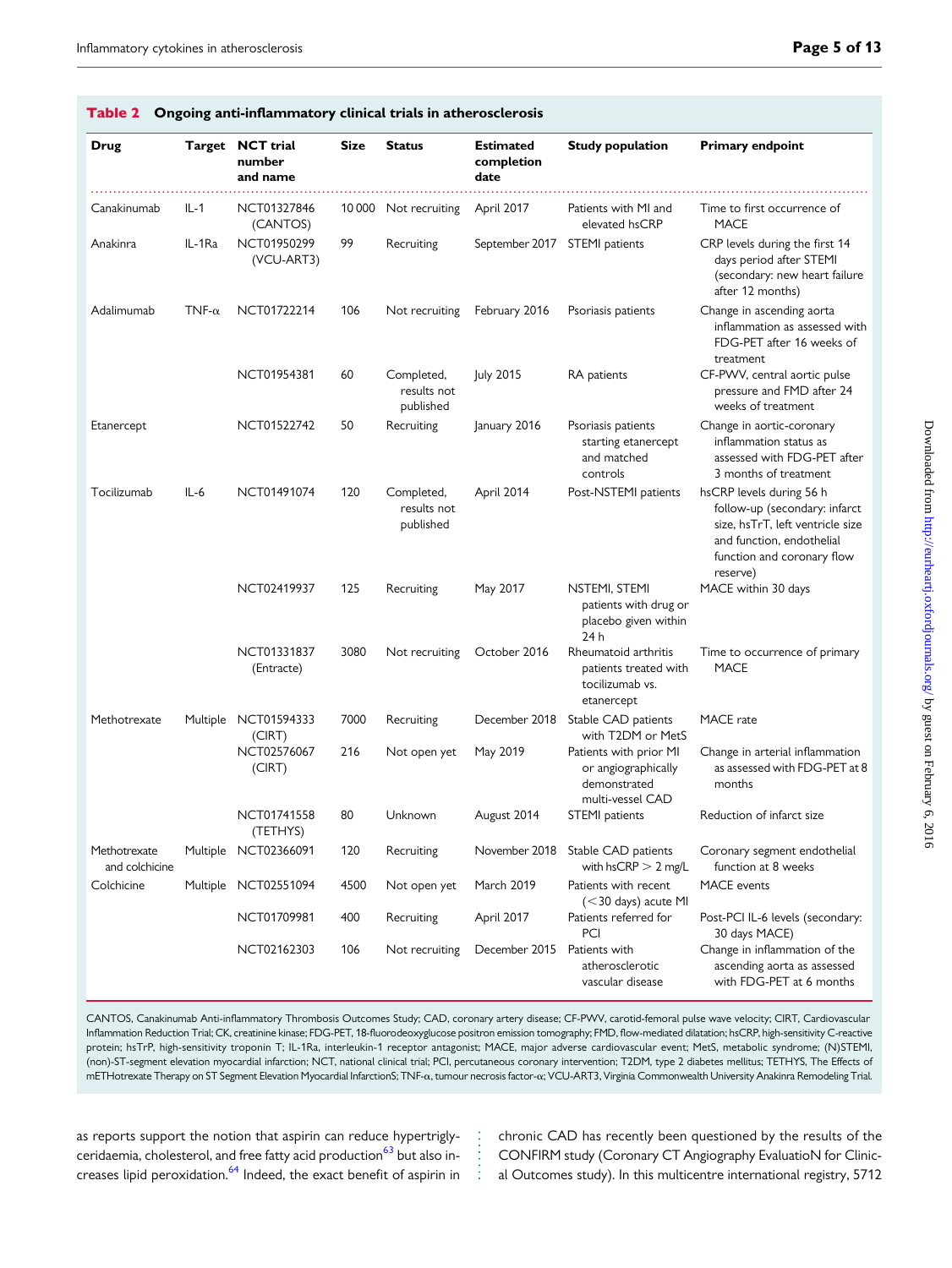<span id="page-4-0"></span>

| Drug                           |               | Target NCT trial<br>number<br>and name | Size | <b>Status</b>                          | <b>Estimated</b><br>completion<br>date | <b>Study population</b>                                                           | <b>Primary endpoint</b>                                                                                                                                              |
|--------------------------------|---------------|----------------------------------------|------|----------------------------------------|----------------------------------------|-----------------------------------------------------------------------------------|----------------------------------------------------------------------------------------------------------------------------------------------------------------------|
| Canakinumab                    | $IL-1$        | NCT01327846<br>(CANTOS)                |      | 10 000 Not recruiting                  | April 2017                             | Patients with MI and<br>elevated hsCRP                                            | Time to first occurrence of<br><b>MACE</b>                                                                                                                           |
| Anakinra                       | IL-1Ra        | NCT01950299<br>(VCU-ART3)              | 99   | Recruiting                             | September 2017 STEMI patients          |                                                                                   | CRP levels during the first 14<br>days period after STEMI<br>(secondary: new heart failure<br>after 12 months)                                                       |
| Adalimumab                     | TNF- $\alpha$ | NCT01722214                            | 106  | Not recruiting                         | February 2016                          | Psoriasis patients                                                                | Change in ascending aorta<br>inflammation as assessed with<br>FDG-PET after 16 weeks of<br>treatment                                                                 |
|                                |               | NCT01954381                            | 60   | Completed,<br>results not<br>published | July 2015                              | RA patients                                                                       | CF-PWV, central aortic pulse<br>pressure and FMD after 24<br>weeks of treatment                                                                                      |
| Etanercept                     |               | NCT01522742                            | 50   | Recruiting                             | January 2016                           | Psoriasis patients<br>starting etanercept<br>and matched<br>controls              | Change in aortic-coronary<br>inflammation status as<br>assessed with FDG-PET after<br>3 months of treatment                                                          |
| Tocilizumab                    | $IL-6$        | NCT01491074                            | 120  | Completed,<br>results not<br>published | April 2014                             | Post-NSTEMI patients                                                              | hsCRP levels during 56 h<br>follow-up (secondary: infarct<br>size, hsTrT, left ventricle size<br>and function, endothelial<br>function and coronary flow<br>reserve) |
|                                |               | NCT02419937                            | 125  | Recruiting                             | May 2017                               | NSTEMI, STEMI<br>patients with drug or<br>placebo given within<br>24 h            | MACE within 30 days                                                                                                                                                  |
|                                |               | NCT01331837<br>(Entracte)              | 3080 | Not recruiting                         | October 2016                           | Rheumatoid arthritis<br>patients treated with<br>tocilizumab vs.<br>etanercept    | Time to occurrence of primary<br><b>MACE</b>                                                                                                                         |
| Methotrexate                   | Multiple      | NCT01594333<br>(CIRT)                  | 7000 | Recruiting                             | December 2018                          | Stable CAD patients<br>with T2DM or MetS                                          | MACE rate                                                                                                                                                            |
|                                |               | NCT02576067<br>(CIRT)                  | 216  | Not open yet                           | May 2019                               | Patients with prior MI<br>or angiographically<br>demonstrated<br>multi-vessel CAD | Change in arterial inflammation<br>as assessed with FDG-PET at 8<br>months                                                                                           |
|                                |               | NCT01741558<br>(TETHYS)                | 80   | Unknown                                | August 2014                            | STEMI patients                                                                    | Reduction of infarct size                                                                                                                                            |
| Methotrexate<br>and colchicine |               | Multiple NCT02366091                   | 120  | Recruiting                             |                                        | November 2018 Stable CAD patients<br>with $hsCRP > 2$ mg/L                        | Coronary segment endothelial<br>function at 8 weeks                                                                                                                  |
| Colchicine                     |               | Multiple NCT02551094                   | 4500 | Not open yet                           | March 2019                             | Patients with recent<br>$(<$ 30 days) acute MI                                    | <b>MACE</b> events                                                                                                                                                   |
|                                |               | NCT01709981                            | 400  | Recruiting                             | April 2017                             | Patients referred for<br>PCI                                                      | Post-PCI IL-6 levels (secondary:<br>30 days MACE)                                                                                                                    |
|                                |               | NCT02162303                            | 106  | Not recruiting                         | December 2015                          | Patients with<br>atherosclerotic<br>vascular disease                              | Change in inflammation of the<br>ascending aorta as assessed<br>with FDG-PET at 6 months                                                                             |

CANTOS, Canakinumab Anti-inflammatory Thrombosis Outcomes Study; CAD, coronary artery disease; CF-PWV, carotid-femoral pulse wave velocity; CIRT, Cardiovascular Inflammation Reduction Trial; CK, creatinine kinase; FDG-PET, 18-fluorodeoxyglucose positron emission tomography; FMD, flow-mediated dilatation; hsCRP, high-sensitivity C-reactive protein; hsTrP, high-sensitivity troponin T; IL-1Ra, interleukin-1 receptor antagonist; MACE, major adverse cardiovascular event; MetS, metabolic syndrome; (N)STEMI, (non)-ST-segment elevation myocardial infarction; NCT, national clinical trial; PCI, percutaneous coronary intervention; T2DM, type 2 diabetes mellitus; TETHYS, The Effects of mETHotrexate Therapy on ST Segment Elevation Myocardial InfarctionS; TNF-a, tumour necrosis factor-a; VCU-ART3, Virginia Commonwealth University Anakinra Remodeling Trial.

as reports support the notion that aspirin can reduce hypertrigly-ceridaemia, cholesterol, and free fatty acid production<sup>[63](#page-11-0)</sup> but also in-creases lipid peroxidation.<sup>[64](#page-11-0)</sup> Indeed, the exact benefit of aspirin in chronic CAD has recently been questioned by the results of the CONFIRM study (Coronary CT Angiography EvaluatioN for Clinical Outcomes study). In this multicentre international registry, 5712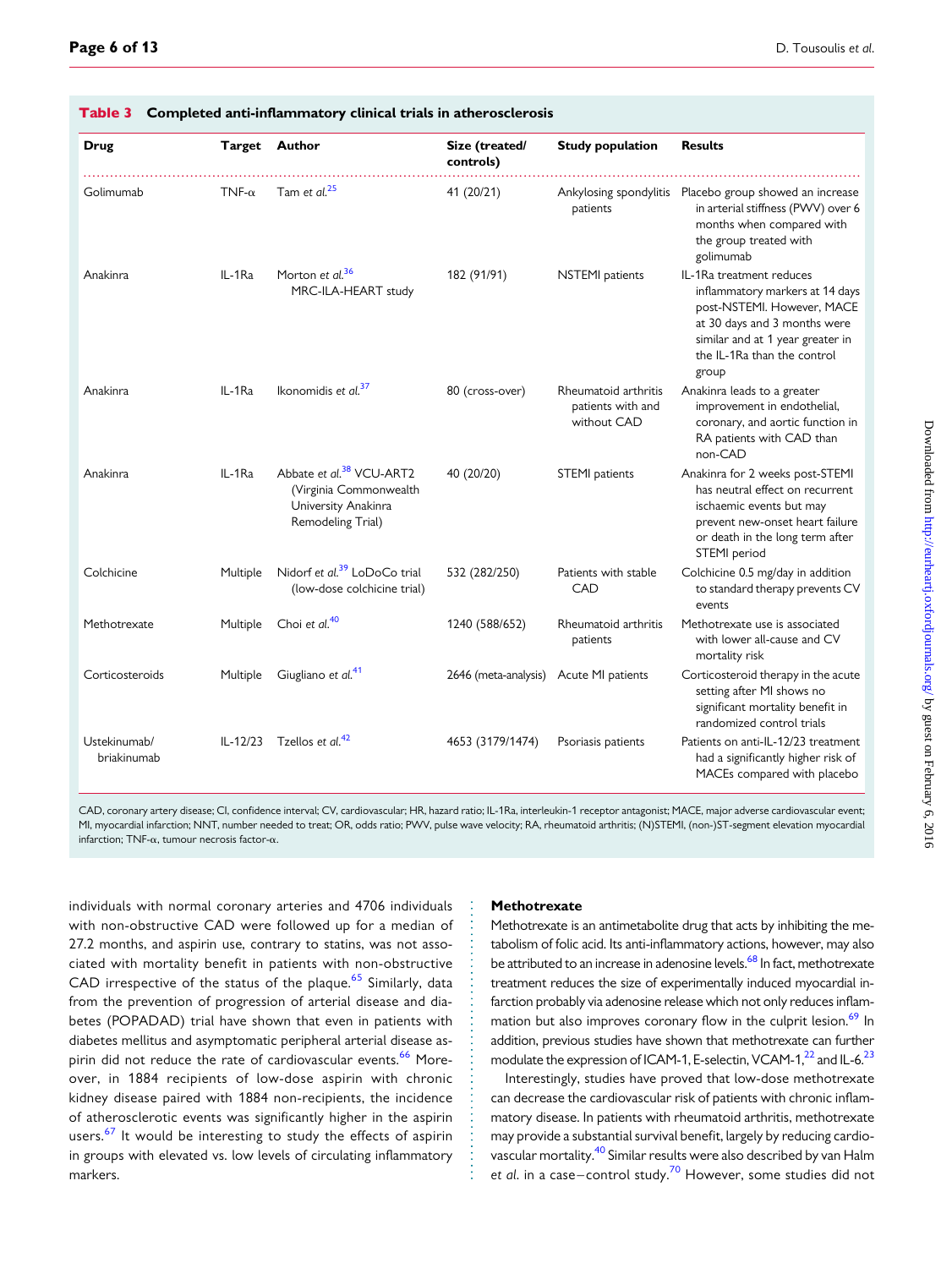Downloaded from http://eurheartj.oxfordjournals.org/ by guest on February 6, 2016 bownloaded from <http://eurheartj.oxfordjournals.org/> by guest on February 6, 2016

<span id="page-5-0"></span>Table 3 Completed anti-inflammatory clinical trials in atherosclerosis

| Drug                        |               | <b>Target</b> Author                                                                                       | Size (treated/<br>controls)            | <b>Study population</b>                                  | <b>Results</b>                                                                                                                                                                                        |
|-----------------------------|---------------|------------------------------------------------------------------------------------------------------------|----------------------------------------|----------------------------------------------------------|-------------------------------------------------------------------------------------------------------------------------------------------------------------------------------------------------------|
| Golimumab                   | TNF- $\alpha$ | Tam et al. <sup>25</sup>                                                                                   | 41 (20/21)                             | patients                                                 | Ankylosing spondylitis Placebo group showed an increase<br>in arterial stiffness (PWV) over 6<br>months when compared with<br>the group treated with<br>golimumab                                     |
| Anakinra                    | IL-1Ra        | Morton et al. <sup>36</sup><br>MRC-ILA-HEART study                                                         | 182 (91/91)                            | <b>NSTEMI</b> patients                                   | IL-1Ra treatment reduces<br>inflammatory markers at 14 days<br>post-NSTEMI. However, MACE<br>at 30 days and 3 months were<br>similar and at 1 year greater in<br>the IL-1Ra than the control<br>group |
| Anakinra                    | $IL-1Ra$      | Ikonomidis et al. <sup>37</sup>                                                                            | 80 (cross-over)                        | Rheumatoid arthritis<br>patients with and<br>without CAD | Anakinra leads to a greater<br>improvement in endothelial,<br>coronary, and aortic function in<br>RA patients with CAD than<br>non-CAD                                                                |
| Anakinra                    | $IL-1Ra$      | Abbate et al. <sup>38</sup> VCU-ART2<br>(Virginia Commonwealth<br>University Anakinra<br>Remodeling Trial) | 40 (20/20)                             | <b>STEMI</b> patients                                    | Anakinra for 2 weeks post-STEMI<br>has neutral effect on recurrent<br>ischaemic events but may<br>prevent new-onset heart failure<br>or death in the long term after<br>STEMI period                  |
| Colchicine                  | Multiple      | Nidorf et al. <sup>39</sup> LoDoCo trial<br>(low-dose colchicine trial)                                    | 532 (282/250)                          | Patients with stable<br>CAD                              | Colchicine 0.5 mg/day in addition<br>to standard therapy prevents CV<br>events                                                                                                                        |
| Methotrexate                | Multiple      | Choi et al. <sup>40</sup>                                                                                  | 1240 (588/652)                         | Rheumatoid arthritis<br>patients                         | Methotrexate use is associated<br>with lower all-cause and CV<br>mortality risk                                                                                                                       |
| Corticosteroids             |               | Multiple Giugliano et al. <sup>41</sup>                                                                    | 2646 (meta-analysis) Acute MI patients |                                                          | Corticosteroid therapy in the acute<br>setting after MI shows no<br>significant mortality benefit in<br>randomized control trials                                                                     |
| Ustekinumab/<br>briakinumab | IL-12/23      | Tzellos et al. <sup>42</sup>                                                                               | 4653 (3179/1474)                       | Psoriasis patients                                       | Patients on anti-IL-12/23 treatment<br>had a significantly higher risk of<br>MACEs compared with placebo                                                                                              |

#### CAD, coronary artery disease; CI, confidence interval; CV, cardiovascular; HR, hazard ratio; IL-1Ra, interleukin-1 receptor antagonist; MACE, major adverse cardiovascular event; MI, myocardial infarction; NNT, number needed to treat; OR, odds ratio; PWV, pulse wave velocity; RA, rheumatoid arthritis; (N)STEMI, (non-)ST-segment elevation myocardial infarction: TNF- $\alpha$ , tumour necrosis factor- $\alpha$ .

individuals with normal coronary arteries and 4706 individuals with non-obstructive CAD were followed up for a median of 27.2 months, and aspirin use, contrary to statins, was not associated with mortality benefit in patients with non-obstructive CAD irrespective of the status of the plaque. $65$  Similarly, data from the prevention of progression of arterial disease and diabetes (POPADAD) trial have shown that even in patients with diabetes mellitus and asymptomatic peripheral arterial disease as-pirin did not reduce the rate of cardiovascular events.<sup>[66](#page-11-0)</sup> Moreover, in 1884 recipients of low-dose aspirin with chronic kidney disease paired with 1884 non-recipients, the incidence of atherosclerotic events was significantly higher in the aspirin users.<sup>[67](#page-11-0)</sup> It would be interesting to study the effects of aspirin in groups with elevated vs. low levels of circulating inflammatory markers.

#### **Methotrexate**

Methotrexate is an antimetabolite drug that acts by inhibiting the metabolism of folic acid. Its anti-inflammatory actions, however, may also be attributed to an increase in adenosine levels.<sup>[68](#page-11-0)</sup> In fact, methotrexate treatment reduces the size of experimentally induced myocardial infarction probably via adenosine release which not only reduces inflam-mation but also improves coronary flow in the culprit lesion.<sup>[69](#page-11-0)</sup> In addition, previous studies have shown that methotrexate can further modulate the expression of ICAM-1, E-selectin, VCAM-1, $^{22}$  and IL-6. $^{23}$  $^{23}$  $^{23}$ 

Interestingly, studies have proved that low-dose methotrexate can decrease the cardiovascular risk of patients with chronic inflammatory disease. In patients with rheumatoid arthritis, methotrexate may provide a substantial survival benefit, largely by reducing cardiovascular mortality.[40](#page-10-0) Similar results were also described by van Halm et al. in a case–control study.<sup>[70](#page-11-0)</sup> However, some studies did not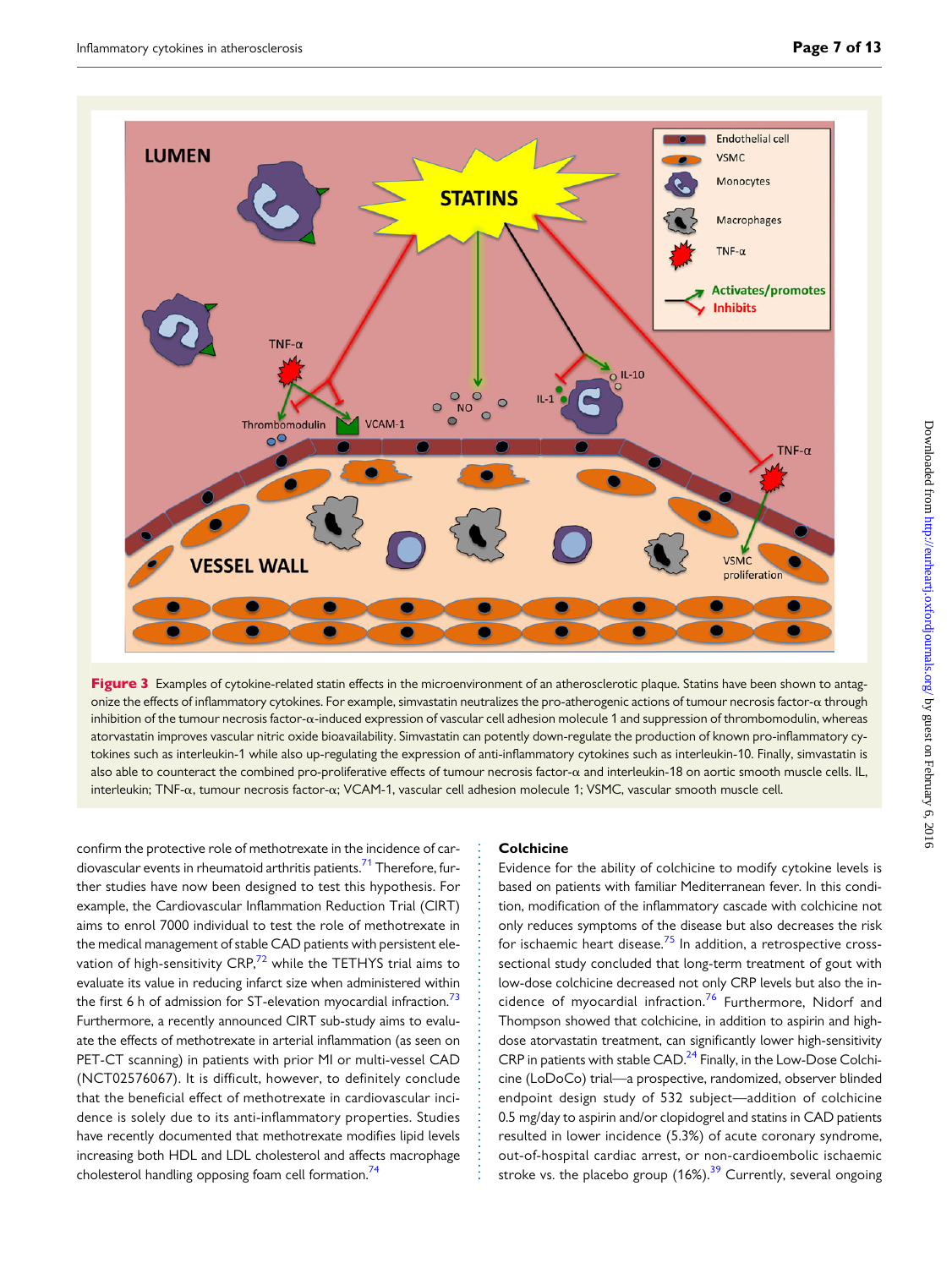<span id="page-6-0"></span>

Figure 3 Examples of cytokine-related statin effects in the microenvironment of an atherosclerotic plaque. Statins have been shown to antagonize the effects of inflammatory cytokines. For example, simvastatin neutralizes the pro-atherogenic actions of tumour necrosis factor-a through inhibition of the tumour necrosis factor- $\alpha$ -induced expression of vascular cell adhesion molecule 1 and suppression of thrombomodulin, whereas atorvastatin improves vascular nitric oxide bioavailability. Simvastatin can potently down-regulate the production of known pro-inflammatory cytokines such as interleukin-1 while also up-regulating the expression of anti-inflammatory cytokines such as interleukin-10. Finally, simvastatin is also able to counteract the combined pro-proliferative effects of tumour necrosis factor- $\alpha$  and interleukin-18 on aortic smooth muscle cells. IL, interleukin; TNF-a, tumour necrosis factor-a; VCAM-1, vascular cell adhesion molecule 1; VSMC, vascular smooth muscle cell.

confirm the protective role of methotrexate in the incidence of car-diovascular events in rheumatoid arthritis patients.<sup>[71](#page-11-0)</sup> Therefore, further studies have now been designed to test this hypothesis. For example, the Cardiovascular Inflammation Reduction Trial (CIRT) aims to enrol 7000 individual to test the role of methotrexate in the medical management of stable CAD patients with persistent elevation of high-sensitivity CRP, $72$  while the TETHYS trial aims to evaluate its value in reducing infarct size when administered within the first 6 h of admission for ST-elevation myocardial infraction.<sup>[73](#page-11-0)</sup> Furthermore, a recently announced CIRT sub-study aims to evaluate the effects of methotrexate in arterial inflammation (as seen on PET-CT scanning) in patients with prior MI or multi-vessel CAD (NCT02576067). It is difficult, however, to definitely conclude that the beneficial effect of methotrexate in cardiovascular incidence is solely due to its anti-inflammatory properties. Studies have recently documented that methotrexate modifies lipid levels increasing both HDL and LDL cholesterol and affects macrophage cholesterol handling opposing foam cell formation.<sup>[74](#page-11-0)</sup>

#### Colchicine

Evidence for the ability of colchicine to modify cytokine levels is based on patients with familiar Mediterranean fever. In this condition, modification of the inflammatory cascade with colchicine not only reduces symptoms of the disease but also decreases the risk for ischaemic heart disease.<sup>[75](#page-11-0)</sup> In addition, a retrospective crosssectional study concluded that long-term treatment of gout with low-dose colchicine decreased not only CRP levels but also the in-cidence of myocardial infraction.<sup>[76](#page-11-0)</sup> Furthermore, Nidorf and Thompson showed that colchicine, in addition to aspirin and highdose atorvastatin treatment, can significantly lower high-sensitivity CRP in patients with stable CAD.<sup>[24](#page-10-0)</sup> Finally, in the Low-Dose Colchicine (LoDoCo) trial—a prospective, randomized, observer blinded endpoint design study of 532 subject—addition of colchicine 0.5 mg/day to aspirin and/or clopidogrel and statins in CAD patients resulted in lower incidence (5.3%) of acute coronary syndrome, out-of-hospital cardiac arrest, or non-cardioembolic ischaemic stroke vs. the placebo group  $(16\%)$ <sup>[39](#page-10-0)</sup> Currently, several ongoing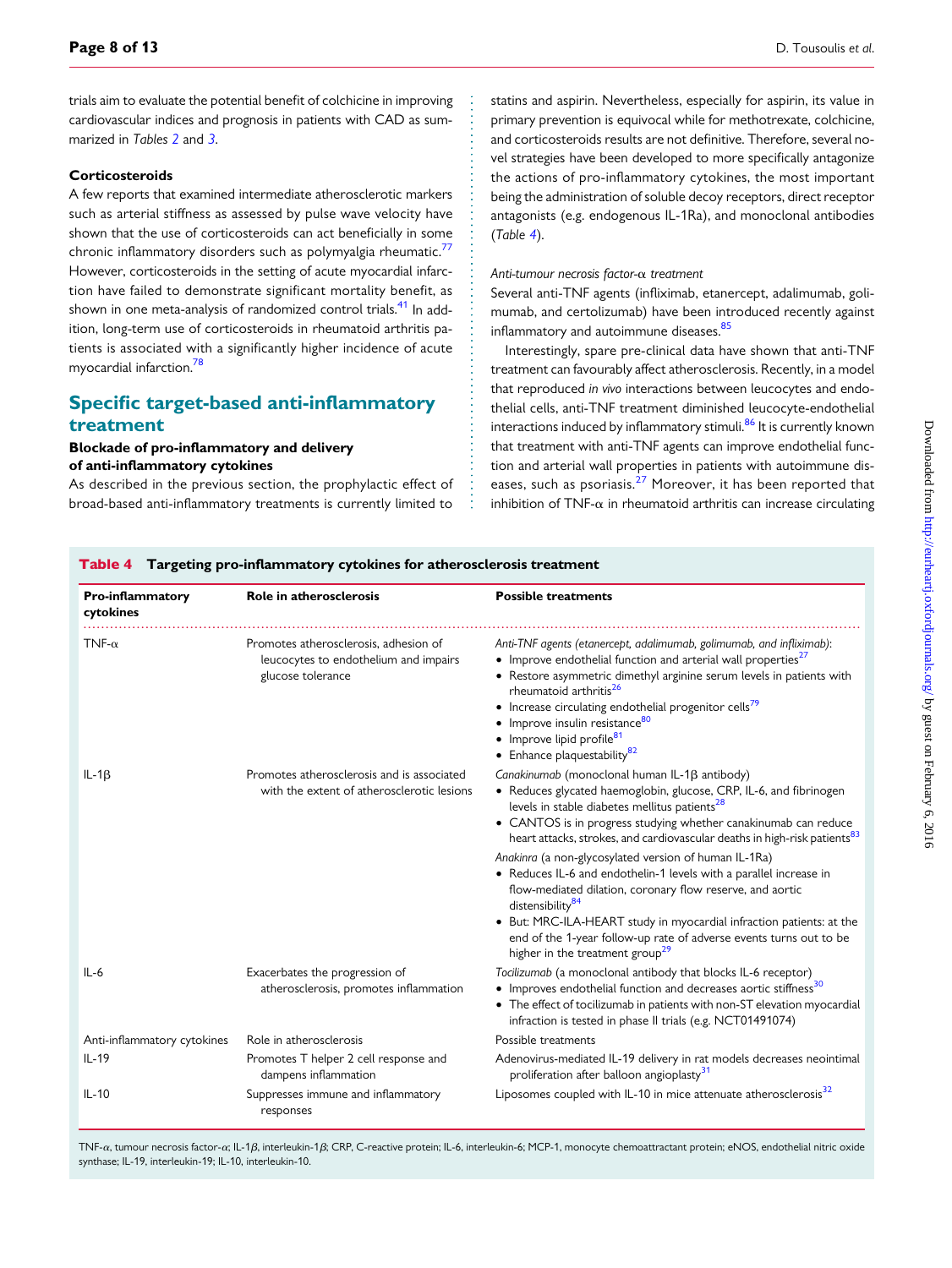trials aim to evaluate the potential benefit of colchicine in improving cardiovascular indices and prognosis in patients with CAD as summarized in Tables [2](#page-4-0) and [3](#page-5-0).

#### **Corticosteroids**

A few reports that examined intermediate atherosclerotic markers such as arterial stiffness as assessed by pulse wave velocity have shown that the use of corticosteroids can act beneficially in some chronic inflammatory disorders such as polymyalgia rheumatic.<sup>7</sup> However, corticosteroids in the setting of acute myocardial infarction have failed to demonstrate significant mortality benefit, as shown in one meta-analysis of randomized control trials.<sup>[41](#page-10-0)</sup> In addition, long-term use of corticosteroids in rheumatoid arthritis patients is associated with a significantly higher incidence of acute myocardial infarction.<sup>[78](#page-11-0)</sup>

### Specific target-based anti-inflammatory treatment

#### Blockade of pro-inflammatory and delivery of anti-inflammatory cytokines

As described in the previous section, the prophylactic effect of broad-based anti-inflammatory treatments is currently limited to

Table 4 Targeting pro-inflammatory cytokines for atherosclerosis treatment

statins and aspirin. Nevertheless, especially for aspirin, its value in primary prevention is equivocal while for methotrexate, colchicine, and corticosteroids results are not definitive. Therefore, several novel strategies have been developed to more specifically antagonize the actions of pro-inflammatory cytokines, the most important being the administration of soluble decoy receptors, direct receptor antagonists (e.g. endogenous IL-1Ra), and monoclonal antibodies (Table 4).

#### Anti-tumour necrosis factor-a treatment

Several anti-TNF agents (infliximab, etanercept, adalimumab, golimumab, and certolizumab) have been introduced recently against inflammatory and autoimmune diseases.<sup>[85](#page-12-0)</sup>

Interestingly, spare pre-clinical data have shown that anti-TNF treatment can favourably affect atherosclerosis. Recently, in a model that reproduced in vivo interactions between leucocytes and endothelial cells, anti-TNF treatment diminished leucocyte-endothelial interactions induced by inflammatory stimuli.<sup>[86](#page-12-0)</sup> It is currently known that treatment with anti-TNF agents can improve endothelial function and arterial wall properties in patients with autoimmune dis-eases, such as psoriasis.<sup>[27](#page-10-0)</sup> Moreover, it has been reported that inhibition of TNF- $\alpha$  in rheumatoid arthritis can increase circulating

| <b>Pro-inflammatory</b><br>cytokines | Role in atherosclerosis                                                                             | <b>Possible treatments</b>                                                                                                                                                                                                                                                                                                                                                                                                                                                                                                                                                                                                                                                                                                                                            |
|--------------------------------------|-----------------------------------------------------------------------------------------------------|-----------------------------------------------------------------------------------------------------------------------------------------------------------------------------------------------------------------------------------------------------------------------------------------------------------------------------------------------------------------------------------------------------------------------------------------------------------------------------------------------------------------------------------------------------------------------------------------------------------------------------------------------------------------------------------------------------------------------------------------------------------------------|
| TNF- $\alpha$                        | Promotes atherosclerosis, adhesion of<br>leucocytes to endothelium and impairs<br>glucose tolerance | Anti-TNF agents (etanercept, adalimumab, golimumab, and infliximab):<br>• Improve endothelial function and arterial wall properties <sup>27</sup><br>• Restore asymmetric dimethyl arginine serum levels in patients with<br>rheumatoid arthritis <sup>26</sup><br>• Increase circulating endothelial progenitor cells <sup>79</sup><br>• Improve insulin resistance <sup>80</sup><br>• Improve lipid profile <sup>81</sup><br>• Enhance plaquestability $\frac{82}{3}$                                                                                                                                                                                                                                                                                               |
| $IL-1\beta$                          | Promotes atherosclerosis and is associated<br>with the extent of atherosclerotic lesions            | Canakinumab (monoclonal human IL-1ß antibody)<br>• Reduces glycated haemoglobin, glucose, CRP, IL-6, and fibrinogen<br>levels in stable diabetes mellitus patients <sup>28</sup><br>• CANTOS is in progress studying whether canakinumab can reduce<br>heart attacks, strokes, and cardiovascular deaths in high-risk patients <sup>83</sup><br>Anakinra (a non-glycosylated version of human IL-1Ra)<br>• Reduces IL-6 and endothelin-1 levels with a parallel increase in<br>flow-mediated dilation, coronary flow reserve, and aortic<br>distensibility <sup>84</sup><br>• But: MRC-ILA-HEART study in myocardial infraction patients: at the<br>end of the 1-year follow-up rate of adverse events turns out to be<br>higher in the treatment group <sup>29</sup> |
| $IL-6$                               | Exacerbates the progression of<br>atherosclerosis, promotes inflammation                            | Tocilizumab (a monoclonal antibody that blocks IL-6 receptor)<br>• Improves endothelial function and decreases aortic stiffness <sup>30</sup><br>• The effect of tocilizumab in patients with non-ST elevation myocardial<br>infraction is tested in phase II trials (e.g. NCT01491074)                                                                                                                                                                                                                                                                                                                                                                                                                                                                               |
| Anti-inflammatory cytokines          | Role in atherosclerosis                                                                             | Possible treatments                                                                                                                                                                                                                                                                                                                                                                                                                                                                                                                                                                                                                                                                                                                                                   |
| $IL-19$                              | Promotes T helper 2 cell response and<br>dampens inflammation                                       | Adenovirus-mediated IL-19 delivery in rat models decreases neointimal<br>proliferation after balloon angioplasty <sup>31</sup>                                                                                                                                                                                                                                                                                                                                                                                                                                                                                                                                                                                                                                        |
| $IL-10$                              | Suppresses immune and inflammatory<br>responses                                                     | Liposomes coupled with IL-10 in mice attenuate atherosclerosis <sup>32</sup>                                                                                                                                                                                                                                                                                                                                                                                                                                                                                                                                                                                                                                                                                          |

TNF-a, tumour necrosis factor-a; IL-1b, interleukin-1b; CRP, C-reactive protein; IL-6, interleukin-6; MCP-1, monocyte chemoattractant protein; eNOS, endothelial nitric oxide synthase; IL-19, interleukin-19; IL-10, interleukin-10.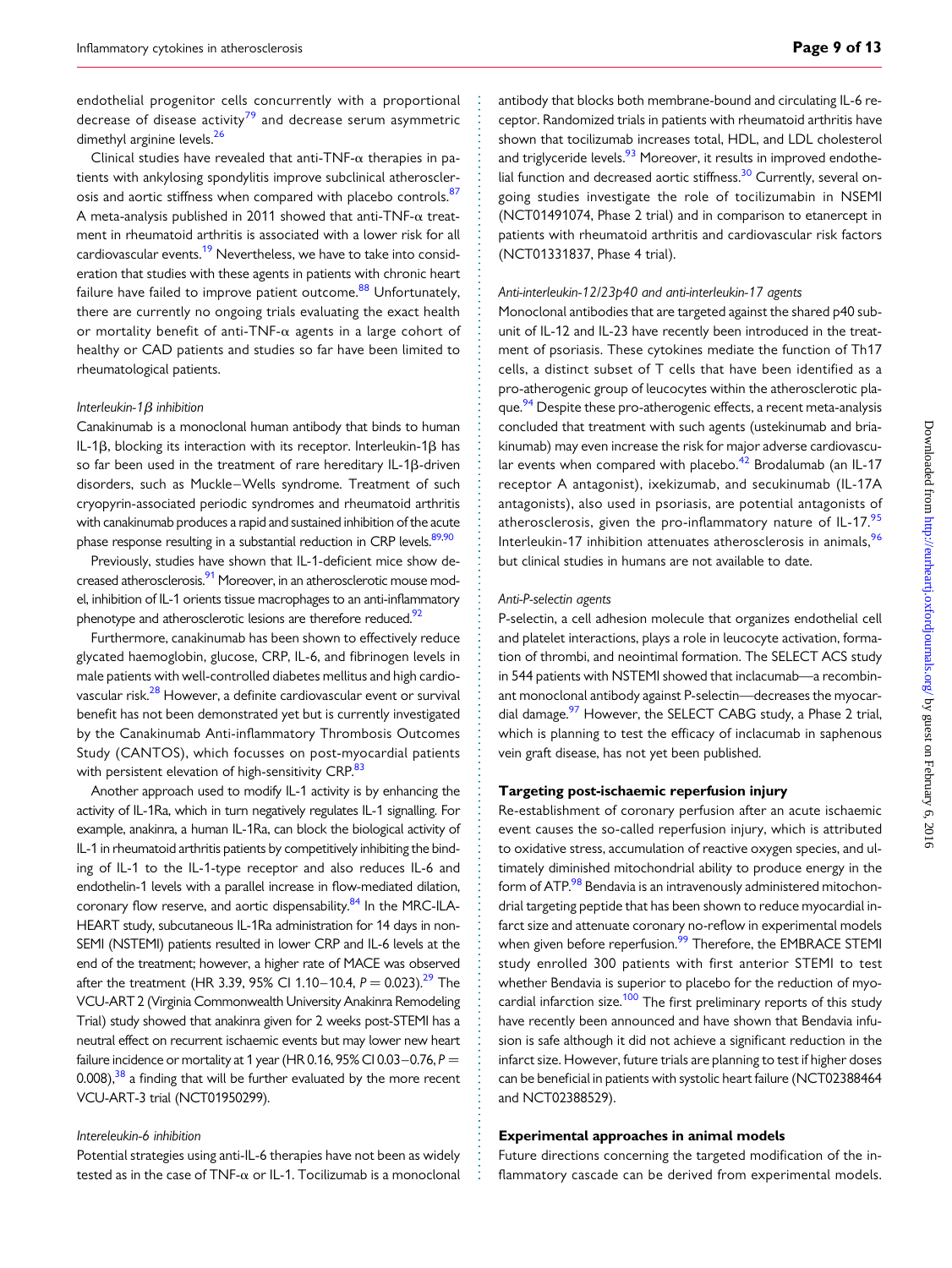endothelial progenitor cells concurrently with a proportional decrease of disease activity $^{79}$  $^{79}$  $^{79}$  and decrease serum asymmetric dimethyl arginine levels.<sup>[26](#page-10-0)</sup>

Clinical studies have revealed that anti-TNF- $\alpha$  therapies in patients with ankylosing spondylitis improve subclinical atheroscler-osis and aortic stiffness when compared with placebo controls.<sup>[87](#page-12-0)</sup> A meta-analysis published in 2011 showed that anti-TNF- $\alpha$  treatment in rheumatoid arthritis is associated with a lower risk for all cardiovascular events.<sup>[19](#page-10-0)</sup> Nevertheless, we have to take into consideration that studies with these agents in patients with chronic heart failure have failed to improve patient outcome.<sup>[88](#page-12-0)</sup> Unfortunately, there are currently no ongoing trials evaluating the exact health or mortality benefit of anti-TNF- $\alpha$  agents in a large cohort of healthy or CAD patients and studies so far have been limited to rheumatological patients.

#### Interleukin-1 $\beta$  inhibition

Canakinumab is a monoclonal human antibody that binds to human IL-1 $\beta$ , blocking its interaction with its receptor. Interleukin-1 $\beta$  has so far been used in the treatment of rare hereditary IL-1ß-driven disorders, such as Muckle–Wells syndrome. Treatment of such cryopyrin-associated periodic syndromes and rheumatoid arthritis with canakinumab produces a rapid and sustained inhibition of the acute phase response resulting in a substantial reduction in CRP levels.<sup>89,90</sup>

Previously, studies have shown that IL-1-deficient mice show decreased atherosclerosis.<sup>91</sup> Moreover, in an atherosclerotic mouse model, inhibition of IL-1 orients tissue macrophages to an anti-inflammatory phenotype and atherosclerotic lesions are therefore reduced.<sup>92</sup>

Furthermore, canakinumab has been shown to effectively reduce glycated haemoglobin, glucose, CRP, IL-6, and fibrinogen levels in male patients with well-controlled diabetes mellitus and high cardiovascular risk[.28](#page-10-0) However, a definite cardiovascular event or survival benefit has not been demonstrated yet but is currently investigated by the Canakinumab Anti-inflammatory Thrombosis Outcomes Study (CANTOS), which focusses on post-myocardial patients with persistent elevation of high-sensitivity CRP.<sup>[83](#page-11-0)</sup>

Another approach used to modify IL-1 activity is by enhancing the activity of IL-1Ra, which in turn negatively regulates IL-1 signalling. For example, anakinra, a human IL-1Ra, can block the biological activity of IL-1 in rheumatoid arthritis patients by competitively inhibiting the binding of IL-1 to the IL-1-type receptor and also reduces IL-6 and endothelin-1 levels with a parallel increase in flow-mediated dilation, coronary flow reserve, and aortic dispensability.<sup>[84](#page-12-0)</sup> In the MRC-ILA-HEART study, subcutaneous IL-1Ra administration for 14 days in non-SEMI (NSTEMI) patients resulted in lower CRP and IL-6 levels at the end of the treatment; however, a higher rate of MACE was observed after the treatment (HR 3.39, 95% CI 1.10–10.4,  $P = 0.023$ ).<sup>[29](#page-10-0)</sup> The VCU-ART 2 (Virginia Commonwealth University Anakinra Remodeling Trial) study showed that anakinra given for 2 weeks post-STEMI has a neutral effect on recurrent ischaemic events but may lower new heart failure incidence or mortality at 1 year (HR 0.16, 95% CI 0.03-0.76,  $P =$  $0.008$ ), $38$  a finding that will be further evaluated by the more recent VCU-ART-3 trial (NCT01950299).

#### Intereleukin-6 inhibition

Potential strategies using anti-IL-6 therapies have not been as widely tested as in the case of TNF- $\alpha$  or IL-1. Tocilizumab is a monoclonal antibody that blocks both membrane-bound and circulating IL-6 receptor. Randomized trials in patients with rheumatoid arthritis have shown that tocilizumab increases total, HDL, and LDL cholesterol and triglyceride levels.<sup>[93](#page-12-0)</sup> Moreover, it results in improved endothe-lial function and decreased aortic stiffness.<sup>[30](#page-10-0)</sup> Currently, several ongoing studies investigate the role of tocilizumabin in NSEMI (NCT01491074, Phase 2 trial) and in comparison to etanercept in patients with rheumatoid arthritis and cardiovascular risk factors (NCT01331837, Phase 4 trial).

#### Anti-interleukin-12/23p40 and anti-interleukin-17 agents

Monoclonal antibodies that are targeted against the shared p40 subunit of IL-12 and IL-23 have recently been introduced in the treatment of psoriasis. These cytokines mediate the function of Th17 cells, a distinct subset of T cells that have been identified as a pro-atherogenic group of leucocytes within the atherosclerotic pla-que.<sup>[94](#page-12-0)</sup> Despite these pro-atherogenic effects, a recent meta-analysis concluded that treatment with such agents (ustekinumab and briakinumab) may even increase the risk for major adverse cardiovascu-lar events when compared with placebo.<sup>[42](#page-10-0)</sup> Brodalumab (an IL-17 receptor A antagonist), ixekizumab, and secukinumab (IL-17A antagonists), also used in psoriasis, are potential antagonists of atherosclerosis, given the pro-inflammatory nature of IL-17.[95](#page-12-0) Interleukin-17 inhibition attenuates atherosclerosis in animals, <sup>[96](#page-12-0)</sup> but clinical studies in humans are not available to date.

#### Anti-P-selectin agents

P-selectin, a cell adhesion molecule that organizes endothelial cell and platelet interactions, plays a role in leucocyte activation, formation of thrombi, and neointimal formation. The SELECT ACS study in 544 patients with NSTEMI showed that inclacumab—a recombinant monoclonal antibody against P-selectin—decreases the myocar-dial damage.<sup>[97](#page-12-0)</sup> However, the SELECT CABG study, a Phase 2 trial, which is planning to test the efficacy of inclacumab in saphenous vein graft disease, has not yet been published.

#### Targeting post-ischaemic reperfusion injury

Re-establishment of coronary perfusion after an acute ischaemic event causes the so-called reperfusion injury, which is attributed to oxidative stress, accumulation of reactive oxygen species, and ultimately diminished mitochondrial ability to produce energy in the form of ATP.<sup>[98](#page-12-0)</sup> Bendavia is an intravenously administered mitochondrial targeting peptide that has been shown to reduce myocardial infarct size and attenuate coronary no-reflow in experimental models when given before reperfusion.<sup>[99](#page-12-0)</sup> Therefore, the EMBRACE STEMI study enrolled 300 patients with first anterior STEMI to test whether Bendavia is superior to placebo for the reduction of myo-cardial infarction size.<sup>[100](#page-12-0)</sup> The first preliminary reports of this study have recently been announced and have shown that Bendavia infusion is safe although it did not achieve a significant reduction in the infarct size. However, future trials are planning to test if higher doses can be beneficial in patients with systolic heart failure (NCT02388464 and NCT02388529).

#### Experimental approaches in animal models

Future directions concerning the targeted modification of the inflammatory cascade can be derived from experimental models.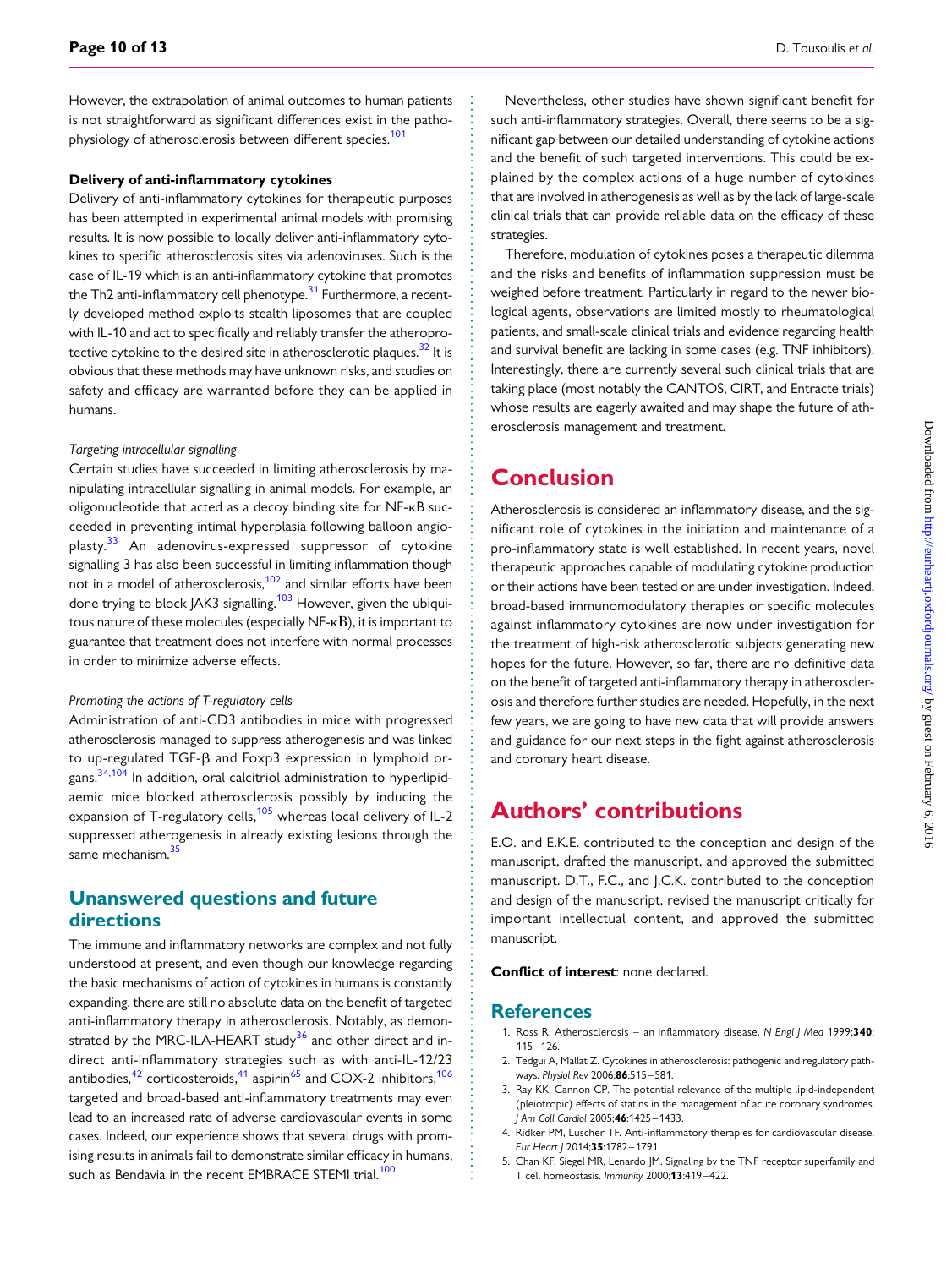<span id="page-9-0"></span>However, the extrapolation of animal outcomes to human patients is not straightforward as significant differences exist in the patho-physiology of atherosclerosis between different species.<sup>[101](#page-12-0)</sup>

#### Delivery of anti-inflammatory cytokines

Delivery of anti-inflammatory cytokines for therapeutic purposes has been attempted in experimental animal models with promising results. It is now possible to locally deliver anti-inflammatory cytokines to specific atherosclerosis sites via adenoviruses. Such is the case of IL-19 which is an anti-inflammatory cytokine that promotes the Th2 anti-inflammatory cell phenotype.<sup>[31](#page-10-0)</sup> Furthermore, a recently developed method exploits stealth liposomes that are coupled with IL-10 and act to specifically and reliably transfer the atheroprotective cytokine to the desired site in atherosclerotic plaques. $32$  It is obvious that these methods may have unknown risks, and studies on safety and efficacy are warranted before they can be applied in humans.

#### Targeting intracellular signalling

Certain studies have succeeded in limiting atherosclerosis by manipulating intracellular signalling in animal models. For example, an oligonucleotide that acted as a decoy binding site for NF-kB succeeded in preventing intimal hyperplasia following balloon angio-plasty.<sup>[33](#page-10-0)</sup> An adenovirus-expressed suppressor of cytokine signalling 3 has also been successful in limiting inflammation though not in a model of atherosclerosis,[102](#page-12-0) and similar efforts have been done trying to block JAK3 signalling.<sup>103</sup> However, given the ubiquitous nature of these molecules (especially NF-kB), it is important to guarantee that treatment does not interfere with normal processes in order to minimize adverse effects.

#### Promoting the actions of T-regulatory cells

Administration of anti-CD3 antibodies in mice with progressed atherosclerosis managed to suppress atherogenesis and was linked to up-regulated TGF- $\beta$  and Foxp3 expression in lymphoid organs.[34](#page-10-0)[,104](#page-12-0) In addition, oral calcitriol administration to hyperlipidaemic mice blocked atherosclerosis possibly by inducing the expansion of T-regulatory cells,<sup>[105](#page-12-0)</sup> whereas local delivery of IL-2 suppressed atherogenesis in already existing lesions through the same mechanism.<sup>[35](#page-10-0)</sup>

### Unanswered questions and future directions

The immune and inflammatory networks are complex and not fully understood at present, and even though our knowledge regarding the basic mechanisms of action of cytokines in humans is constantly expanding, there are still no absolute data on the benefit of targeted anti-inflammatory therapy in atherosclerosis. Notably, as demonstrated by the MRC-ILA-HEART study $36$  and other direct and indirect anti-inflammatory strategies such as with anti-IL-12/23 antibodies, $42$  corticosteroids, $41$  aspirin<sup>[65](#page-11-0)</sup> and COX-2 inhibitors, $106$ targeted and broad-based anti-inflammatory treatments may even lead to an increased rate of adverse cardiovascular events in some cases. Indeed, our experience shows that several drugs with promising results in animals fail to demonstrate similar efficacy in humans, such as Bendavia in the recent EMBRACE STEMI trial.<sup>[100](#page-12-0)</sup>

Nevertheless, other studies have shown significant benefit for such anti-inflammatory strategies. Overall, there seems to be a significant gap between our detailed understanding of cytokine actions and the benefit of such targeted interventions. This could be explained by the complex actions of a huge number of cytokines that are involved in atherogenesis as well as by the lack of large-scale clinical trials that can provide reliable data on the efficacy of these strategies.

Therefore, modulation of cytokines poses a therapeutic dilemma and the risks and benefits of inflammation suppression must be weighed before treatment. Particularly in regard to the newer biological agents, observations are limited mostly to rheumatological patients, and small-scale clinical trials and evidence regarding health and survival benefit are lacking in some cases (e.g. TNF inhibitors). Interestingly, there are currently several such clinical trials that are taking place (most notably the CANTOS, CIRT, and Entracte trials) whose results are eagerly awaited and may shape the future of atherosclerosis management and treatment.

# **Conclusion**

Atherosclerosis is considered an inflammatory disease, and the significant role of cytokines in the initiation and maintenance of a pro-inflammatory state is well established. In recent years, novel therapeutic approaches capable of modulating cytokine production or their actions have been tested or are under investigation. Indeed, broad-based immunomodulatory therapies or specific molecules against inflammatory cytokines are now under investigation for the treatment of high-risk atherosclerotic subjects generating new hopes for the future. However, so far, there are no definitive data on the benefit of targeted anti-inflammatory therapy in atherosclerosis and therefore further studies are needed. Hopefully, in the next few years, we are going to have new data that will provide answers and guidance for our next steps in the fight against atherosclerosis and coronary heart disease.

## Authors' contributions

E.O. and E.K.E. contributed to the conception and design of the manuscript, drafted the manuscript, and approved the submitted manuscript. D.T., F.C., and J.C.K. contributed to the conception and design of the manuscript, revised the manuscript critically for important intellectual content, and approved the submitted manuscript.

#### Conflict of interest: none declared.

#### **References**

- 1. Ross R. Atherosclerosis an inflammatory disease. N Engl | Med 1999;340: 115–126.
- 2. Tedgui A, Mallat Z. Cytokines in atherosclerosis: pathogenic and regulatory pathways. Physiol Rev 2006;86:515–581.
- 3. Ray KK, Cannon CP. The potential relevance of the multiple lipid-independent (pleiotropic) effects of statins in the management of acute coronary syndromes. J Am Coll Cardiol 2005;46:1425–1433.
- 4. Ridker PM, Luscher TF. Anti-inflammatory therapies for cardiovascular disease. Eur Heart I 2014:35:1782-1791.
- 5. Chan KF, Siegel MR, Lenardo JM. Signaling by the TNF receptor superfamily and T cell homeostasis. Immunity 2000;13:419–422.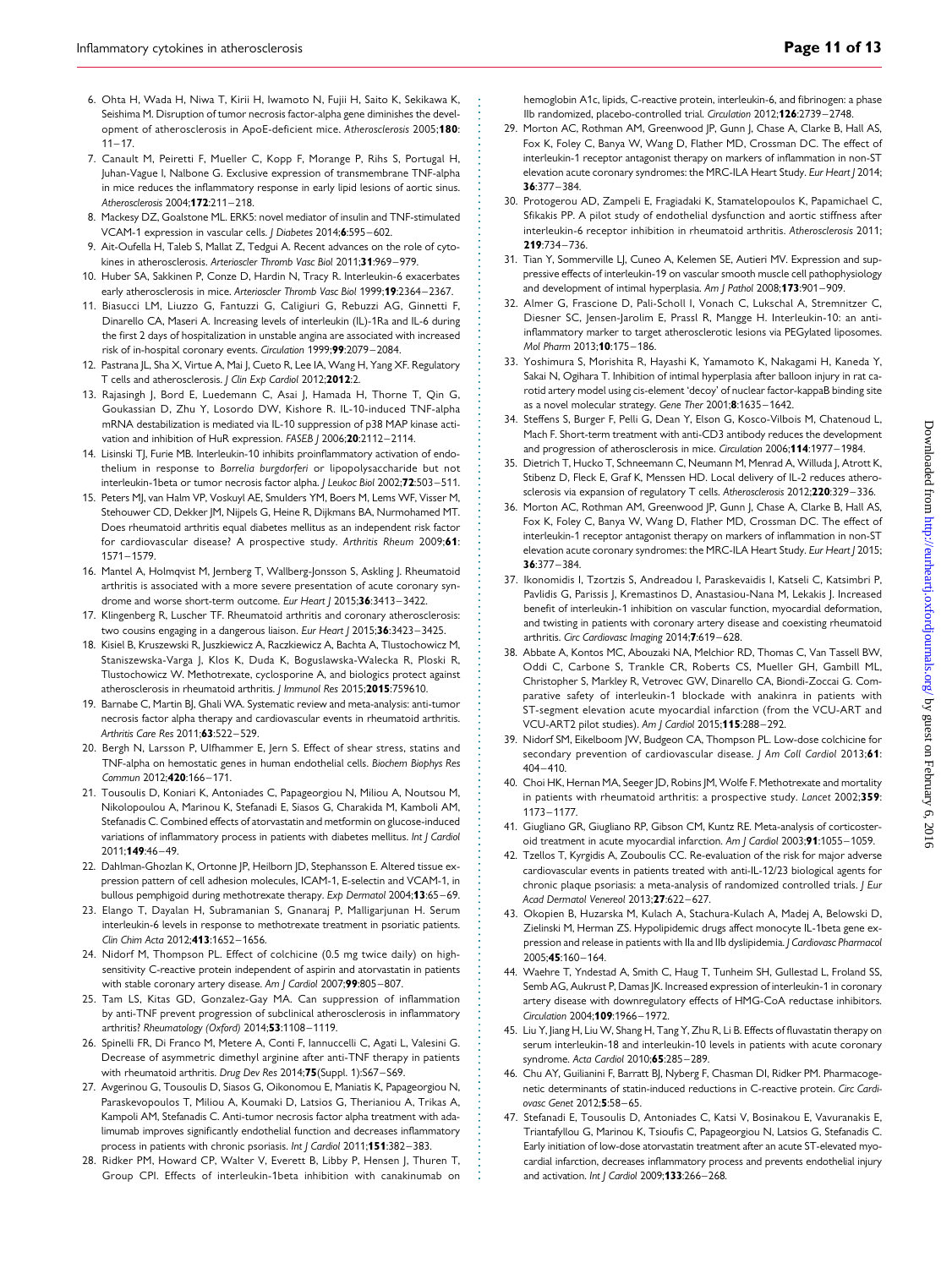- <span id="page-10-0"></span>6. Ohta H, Wada H, Niwa T, Kirii H, Iwamoto N, Fujii H, Saito K, Sekikawa K, Seishima M. Disruption of tumor necrosis factor-alpha gene diminishes the development of atherosclerosis in ApoE-deficient mice. Atherosclerosis 2005;180:  $11 - 17$
- 7. Canault M, Peiretti F, Mueller C, Kopp F, Morange P, Rihs S, Portugal H, Juhan-Vague I, Nalbone G. Exclusive expression of transmembrane TNF-alpha in mice reduces the inflammatory response in early lipid lesions of aortic sinus. Atherosclerosis 2004;172:211–218.
- 8. Mackesy DZ, Goalstone ML. ERK5: novel mediator of insulin and TNF-stimulated VCAM-1 expression in vascular cells. J Diabetes 2014;6:595–602.
- 9. Ait-Oufella H, Taleb S, Mallat Z, Tedgui A. Recent advances on the role of cytokines in atherosclerosis. Arterioscler Thromb Vasc Biol 2011;31:969-979.
- 10. Huber SA, Sakkinen P, Conze D, Hardin N, Tracy R. Interleukin-6 exacerbates early atherosclerosis in mice. Arterioscler Thromb Vasc Biol 1999:19:2364-2367.
- 11. Biasucci LM, Liuzzo G, Fantuzzi G, Caligiuri G, Rebuzzi AG, Ginnetti F, Dinarello CA, Maseri A. Increasing levels of interleukin (IL)-1Ra and IL-6 during the first 2 days of hospitalization in unstable angina are associated with increased risk of in-hospital coronary events. Circulation 1999;99:2079–2084.
- 12. Pastrana JL, Sha X, Virtue A, Mai J, Cueto R, Lee IA, Wang H, Yang XF. Regulatory T cells and atherosclerosis. J Clin Exp Cardiol 2012;2012:2.
- 13. Rajasingh J, Bord E, Luedemann C, Asai J, Hamada H, Thorne T, Qin G, Goukassian D, Zhu Y, Losordo DW, Kishore R. IL-10-induced TNF-alpha mRNA destabilization is mediated via IL-10 suppression of p38 MAP kinase activation and inhibition of HuR expression. FASEB J 2006;20:2112-2114.
- 14. Lisinski TJ, Furie MB. Interleukin-10 inhibits proinflammatory activation of endothelium in response to Borrelia burgdorferi or lipopolysaccharide but not interleukin-1beta or tumor necrosis factor alpha. J Leukoc Biol 2002;72:503–511.
- 15. Peters MJ, van Halm VP, Voskuyl AE, Smulders YM, Boers M, Lems WF, Visser M, Stehouwer CD, Dekker JM, Nijpels G, Heine R, Dijkmans BA, Nurmohamed MT. Does rheumatoid arthritis equal diabetes mellitus as an independent risk factor for cardiovascular disease? A prospective study. Arthritis Rheum 2009;61: 1571–1579.
- 16. Mantel A, Holmqvist M, Jernberg T, Wallberg-Jonsson S, Askling J. Rheumatoid arthritis is associated with a more severe presentation of acute coronary syndrome and worse short-term outcome. Eur Heart I 2015:36:3413-3422
- 17. Klingenberg R, Luscher TF. Rheumatoid arthritis and coronary atherosclerosis: two cousins engaging in a dangerous liaison. Eur Heart J 2015;36:3423-3425.
- 18. Kisiel B, Kruszewski R, Juszkiewicz A, Raczkiewicz A, Bachta A, Tlustochowicz M, Staniszewska-Varga J, Klos K, Duda K, Boguslawska-Walecka R, Ploski R, Tlustochowicz W. Methotrexate, cyclosporine A, and biologics protect against atherosclerosis in rheumatoid arthritis. *I Immunol Res* 2015:2015:759610.
- 19. Barnabe C, Martin BJ, Ghali WA. Systematic review and meta-analysis: anti-tumor necrosis factor alpha therapy and cardiovascular events in rheumatoid arthritis. Arthritis Care Res 2011:63:522-529.
- 20. Bergh N, Larsson P, Ulfhammer E, Jern S. Effect of shear stress, statins and TNF-alpha on hemostatic genes in human endothelial cells. Biochem Biophys Res Commun 2012;420:166–171.
- 21. Tousoulis D, Koniari K, Antoniades C, Papageorgiou N, Miliou A, Noutsou M, Nikolopoulou A, Marinou K, Stefanadi E, Siasos G, Charakida M, Kamboli AM, Stefanadis C. Combined effects of atorvastatin and metformin on glucose-induced variations of inflammatory process in patients with diabetes mellitus. Int J Cardiol 2011;149:46–49.
- 22. Dahlman-Ghozlan K, Ortonne JP, Heilborn JD, Stephansson E. Altered tissue expression pattern of cell adhesion molecules, ICAM-1, E-selectin and VCAM-1, in bullous pemphigoid during methotrexate therapy. Exp Dermatol 2004;13:65-69.
- 23. Elango T, Dayalan H, Subramanian S, Gnanaraj P, Malligarjunan H. Serum interleukin-6 levels in response to methotrexate treatment in psoriatic patients. Clin Chim Acta 2012;413:1652–1656.
- 24. Nidorf M, Thompson PL. Effect of colchicine (0.5 mg twice daily) on highsensitivity C-reactive protein independent of aspirin and atorvastatin in patients with stable coronary artery disease. Am J Cardiol 2007;99:805-807.
- 25. Tam LS, Kitas GD, Gonzalez-Gay MA. Can suppression of inflammation by anti-TNF prevent progression of subclinical atherosclerosis in inflammatory arthritis? Rheumatology (Oxford) 2014;53:1108–1119.
- 26. Spinelli FR, Di Franco M, Metere A, Conti F, Iannuccelli C, Agati L, Valesini G. Decrease of asymmetric dimethyl arginine after anti-TNF therapy in patients with rheumatoid arthritis. Drug Dev Res 2014;75(Suppl. 1):S67–S69.
- 27. Avgerinou G, Tousoulis D, Siasos G, Oikonomou E, Maniatis K, Papageorgiou N, Paraskevopoulos T, Miliou A, Koumaki D, Latsios G, Therianiou A, Trikas A, Kampoli AM, Stefanadis C. Anti-tumor necrosis factor alpha treatment with adalimumab improves significantly endothelial function and decreases inflammatory process in patients with chronic psoriasis. Int | Cardiol 2011;151:382-383.
- 28. Ridker PM, Howard CP, Walter V, Everett B, Libby P, Hensen J, Thuren T, Group CPI. Effects of interleukin-1beta inhibition with canakinumab on

hemoglobin A1c, lipids, C-reactive protein, interleukin-6, and fibrinogen: a phase IIb randomized, placebo-controlled trial. Circulation 2012;126:2739–2748.

- 29. Morton AC, Rothman AM, Greenwood JP, Gunn J, Chase A, Clarke B, Hall AS, Fox K, Foley C, Banya W, Wang D, Flather MD, Crossman DC. The effect of interleukin-1 receptor antagonist therapy on markers of inflammation in non-ST elevation acute coronary syndromes: the MRC-ILA Heart Study. Eur Heart J 2014; 36:377–384.
- 30. Protogerou AD, Zampeli E, Fragiadaki K, Stamatelopoulos K, Papamichael C, Sfikakis PP. A pilot study of endothelial dysfunction and aortic stiffness after interleukin-6 receptor inhibition in rheumatoid arthritis. Atherosclerosis 2011; 219:734–736.
- 31. Tian Y, Sommerville LJ, Cuneo A, Kelemen SE, Autieri MV. Expression and suppressive effects of interleukin-19 on vascular smooth muscle cell pathophysiology and development of intimal hyperplasia. Am J Pathol 2008;173:901–909.
- 32. Almer G, Frascione D, Pali-Scholl I, Vonach C, Lukschal A, Stremnitzer C, Diesner SC, Jensen-Jarolim E, Prassl R, Mangge H. Interleukin-10: an antiinflammatory marker to target atherosclerotic lesions via PEGylated liposomes. Mol Pharm 2013;10:175–186.
- 33. Yoshimura S, Morishita R, Hayashi K, Yamamoto K, Nakagami H, Kaneda Y, Sakai N, Ogihara T. Inhibition of intimal hyperplasia after balloon injury in rat carotid artery model using cis-element 'decoy' of nuclear factor-kappaB binding site as a novel molecular strategy. Gene Ther 2001;8:1635–1642.
- 34. Steffens S, Burger F, Pelli G, Dean Y, Elson G, Kosco-Vilbois M, Chatenoud L, Mach F. Short-term treatment with anti-CD3 antibody reduces the development and progression of atherosclerosis in mice. Circulation 2006;114:1977–1984.
- 35. Dietrich T, Hucko T, Schneemann C, Neumann M, Menrad A, Willuda J, Atrott K, Stibenz D, Fleck E, Graf K, Menssen HD. Local delivery of IL-2 reduces atherosclerosis via expansion of regulatory T cells. Atherosclerosis 2012;220:329-336.
- 36. Morton AC, Rothman AM, Greenwood JP, Gunn J, Chase A, Clarke B, Hall AS, Fox K, Foley C, Banya W, Wang D, Flather MD, Crossman DC. The effect of interleukin-1 receptor antagonist therapy on markers of inflammation in non-ST elevation acute coronary syndromes: the MRC-ILA Heart Study. Eur Heart J 2015; 36:377–384.
- 37. Ikonomidis I, Tzortzis S, Andreadou I, Paraskevaidis I, Katseli C, Katsimbri P, Pavlidis G, Parissis J, Kremastinos D, Anastasiou-Nana M, Lekakis J. Increased benefit of interleukin-1 inhibition on vascular function, myocardial deformation, and twisting in patients with coronary artery disease and coexisting rheumatoid arthritis. Circ Cardiovasc Imaging 2014;7:619–628.
- 38. Abbate A, Kontos MC, Abouzaki NA, Melchior RD, Thomas C, Van Tassell BW, Oddi C, Carbone S, Trankle CR, Roberts CS, Mueller GH, Gambill ML, Christopher S, Markley R, Vetrovec GW, Dinarello CA, Biondi-Zoccai G. Comparative safety of interleukin-1 blockade with anakinra in patients with ST-segment elevation acute myocardial infarction (from the VCU-ART and VCU-ART2 pilot studies). Am J Cardiol 2015;115:288–292.
- 39. Nidorf SM, Eikelboom JW, Budgeon CA, Thompson PL. Low-dose colchicine for secondary prevention of cardiovascular disease. J Am Coll Cardiol 2013;61: 404–410.
- 40. Choi HK, Hernan MA, Seeger JD, Robins JM, Wolfe F. Methotrexate and mortality in patients with rheumatoid arthritis: a prospective study. Lancet 2002;359: 1173–1177.
- 41. Giugliano GR, Giugliano RP, Gibson CM, Kuntz RE. Meta-analysis of corticosteroid treatment in acute myocardial infarction. Am | Cardiol 2003;91:1055-1059.
- 42. Tzellos T, Kyrgidis A, Zouboulis CC. Re-evaluation of the risk for major adverse cardiovascular events in patients treated with anti-IL-12/23 biological agents for chronic plaque psoriasis: a meta-analysis of randomized controlled trials. J Eur Acad Dermatol Venereol 2013;27:622–627.
- 43. Okopien B, Huzarska M, Kulach A, Stachura-Kulach A, Madej A, Belowski D, Zielinski M, Herman ZS. Hypolipidemic drugs affect monocyte IL-1beta gene expression and release in patients with IIa and IIb dyslipidemia. J Cardiovasc Pharmacol 2005;45:160–164.
- 44. Waehre T, Yndestad A, Smith C, Haug T, Tunheim SH, Gullestad L, Froland SS, Semb AG, Aukrust P, Damas JK. Increased expression of interleukin-1 in coronary artery disease with downregulatory effects of HMG-CoA reductase inhibitors. Circulation 2004;109:1966–1972.
- 45. Liu Y, Jiang H, Liu W, Shang H, Tang Y, Zhu R, Li B. Effects of fluvastatin therapy on serum interleukin-18 and interleukin-10 levels in patients with acute coronary syndrome. Acta Cardiol 2010;65:285–289.
- 46. Chu AY, Guilianini F, Barratt BJ, Nyberg F, Chasman DI, Ridker PM. Pharmacogenetic determinants of statin-induced reductions in C-reactive protein. Circ Cardiovasc Genet 2012;5:58–65.
- 47. Stefanadi E, Tousoulis D, Antoniades C, Katsi V, Bosinakou E, Vavuranakis E, Triantafyllou G, Marinou K, Tsioufis C, Papageorgiou N, Latsios G, Stefanadis C. Early initiation of low-dose atorvastatin treatment after an acute ST-elevated myocardial infarction, decreases inflammatory process and prevents endothelial injury and activation. Int I Cardiol 2009:133:266-268.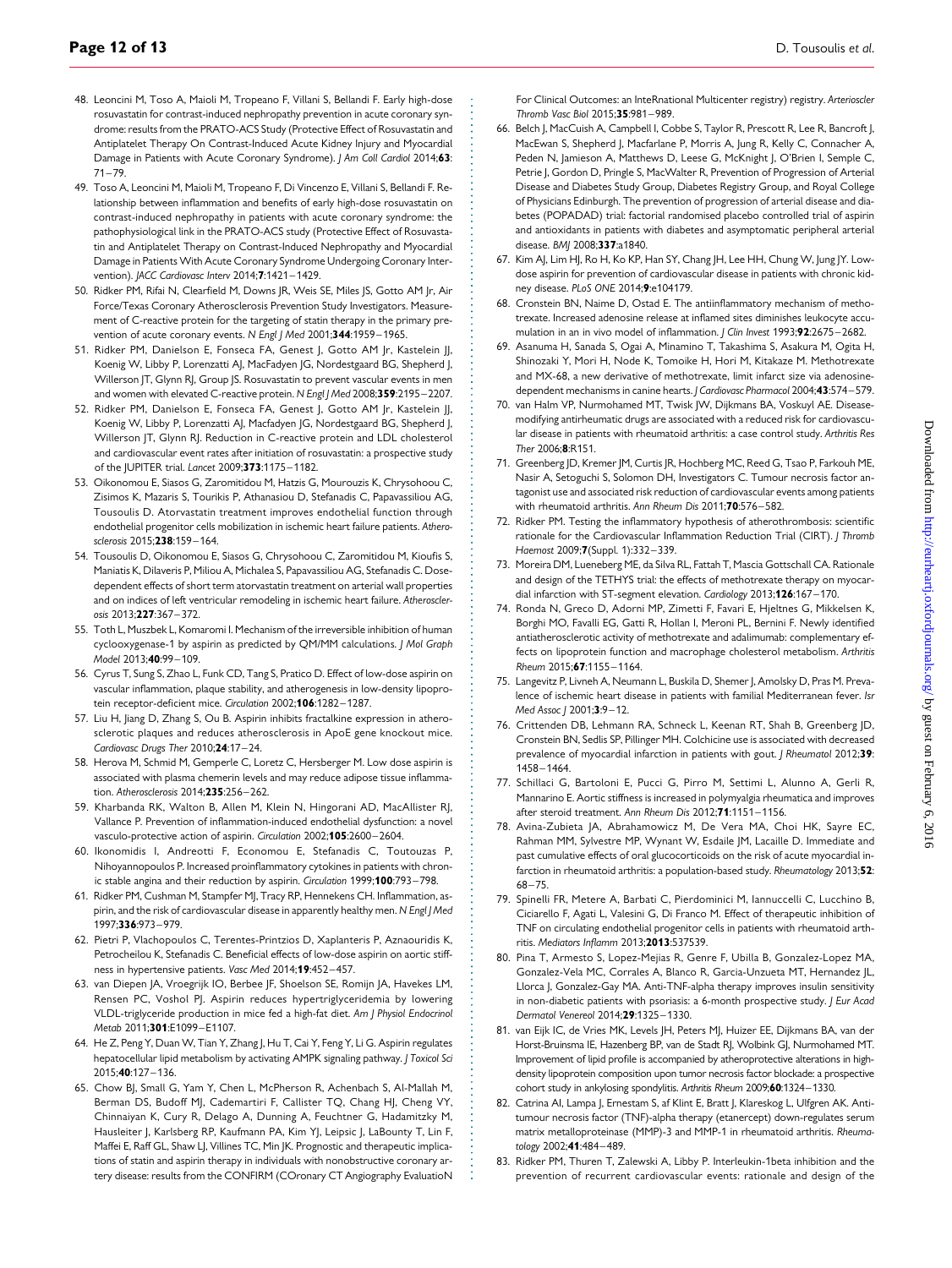- <span id="page-11-0"></span>48. Leoncini M, Toso A, Maioli M, Tropeano F, Villani S, Bellandi F. Early high-dose rosuvastatin for contrast-induced nephropathy prevention in acute coronary syndrome: results from the PRATO-ACS Study (Protective Effect of Rosuvastatin and Antiplatelet Therapy On Contrast-Induced Acute Kidney Injury and Myocardial Damage in Patients with Acute Coronary Syndrome). *I Am Coll Cardiol* 2014:63: 71–79.
- 49. Toso A, Leoncini M, Maioli M, Tropeano F, Di Vincenzo E, Villani S, Bellandi F. Relationship between inflammation and benefits of early high-dose rosuvastatin on contrast-induced nephropathy in patients with acute coronary syndrome: the pathophysiological link in the PRATO-ACS study (Protective Effect of Rosuvastatin and Antiplatelet Therapy on Contrast-Induced Nephropathy and Myocardial Damage in Patients With Acute Coronary Syndrome Undergoing Coronary Intervention). JACC Cardiovasc Interv 2014;7:1421–1429.
- 50. Ridker PM, Rifai N, Clearfield M, Downs JR, Weis SE, Miles JS, Gotto AM Jr, Air Force/Texas Coronary Atherosclerosis Prevention Study Investigators. Measurement of C-reactive protein for the targeting of statin therapy in the primary prevention of acute coronary events. N Engl J Med 2001;344:1959-1965.
- 51. Ridker PM, Danielson E, Fonseca FA, Genest J, Gotto AM Jr, Kastelein JJ, Koenig W, Libby P, Lorenzatti AJ, MacFadyen JG, Nordestgaard BG, Shepherd J, Willerson JT, Glynn RJ, Group JS. Rosuvastatin to prevent vascular events in men and women with elevated C-reactive protein. N Engl | Med 2008;359:2195-2207.
- 52. Ridker PM, Danielson E, Fonseca FA, Genest J, Gotto AM Jr, Kastelein JJ, Koenig W, Libby P, Lorenzatti AJ, Macfadyen JG, Nordestgaard BG, Shepherd J, Willerson JT, Glynn RJ. Reduction in C-reactive protein and LDL cholesterol and cardiovascular event rates after initiation of rosuvastatin: a prospective study of the JUPITER trial. Lancet 2009;373:1175–1182.
- 53. Oikonomou E, Siasos G, Zaromitidou M, Hatzis G, Mourouzis K, Chrysohoou C, Zisimos K, Mazaris S, Tourikis P, Athanasiou D, Stefanadis C, Papavassiliou AG, Tousoulis D. Atorvastatin treatment improves endothelial function through endothelial progenitor cells mobilization in ischemic heart failure patients. Atherosclerosis 2015;238:159–164.
- 54. Tousoulis D, Oikonomou E, Siasos G, Chrysohoou C, Zaromitidou M, Kioufis S, Maniatis K, Dilaveris P, Miliou A, Michalea S, Papavassiliou AG, Stefanadis C. Dosedependent effects of short term atorvastatin treatment on arterial wall properties and on indices of left ventricular remodeling in ischemic heart failure. Atherosclerosis 2013;227:367–372.
- 55. Toth L, Muszbek L, Komaromi I. Mechanism of the irreversible inhibition of human cyclooxygenase-1 by aspirin as predicted by QM/MM calculations. J Mol Graph Model 2013;40:99–109.
- 56. Cyrus T, Sung S, Zhao L, Funk CD, Tang S, Pratico D. Effect of low-dose aspirin on vascular inflammation, plaque stability, and atherogenesis in low-density lipoprotein receptor-deficient mice. Circulation 2002;106:1282–1287.
- 57. Liu H, Jiang D, Zhang S, Ou B. Aspirin inhibits fractalkine expression in atherosclerotic plaques and reduces atherosclerosis in ApoE gene knockout mice. Cardiovasc Drugs Ther 2010;24:17-24.
- 58. Herova M, Schmid M, Gemperle C, Loretz C, Hersberger M. Low dose aspirin is associated with plasma chemerin levels and may reduce adipose tissue inflammation. Atherosclerosis 2014;235:256–262.
- 59. Kharbanda RK, Walton B, Allen M, Klein N, Hingorani AD, MacAllister RJ, Vallance P. Prevention of inflammation-induced endothelial dysfunction: a novel vasculo-protective action of aspirin. Circulation 2002;105:2600–2604.
- 60. Ikonomidis I, Andreotti F, Economou E, Stefanadis C, Toutouzas P, Nihoyannopoulos P. Increased proinflammatory cytokines in patients with chronic stable angina and their reduction by aspirin. Circulation 1999;100:793–798.
- 61. Ridker PM, Cushman M, Stampfer MJ, Tracy RP, Hennekens CH. Inflammation, aspirin, and the risk of cardiovascular disease in apparently healthy men. N Engl J Med 1997;336:973–979.
- 62. Pietri P, Vlachopoulos C, Terentes-Printzios D, Xaplanteris P, Aznaouridis K, Petrocheilou K, Stefanadis C. Beneficial effects of low-dose aspirin on aortic stiffness in hypertensive patients. Vasc Med 2014;19:452–457.
- 63. van Diepen JA, Vroegrijk IO, Berbee JF, Shoelson SE, Romijn JA, Havekes LM, Rensen PC, Voshol PJ. Aspirin reduces hypertriglyceridemia by lowering VLDL-triglyceride production in mice fed a high-fat diet. Am J Physiol Endocrinol Metab 2011:301:E1099-E1107.
- 64. He Z, Peng Y, Duan W, Tian Y, Zhang J, Hu T, Cai Y, Feng Y, Li G. Aspirin regulates hepatocellular lipid metabolism by activating AMPK signaling pathway. J Toxicol Sci 2015;40:127–136.
- 65. Chow BJ, Small G, Yam Y, Chen L, McPherson R, Achenbach S, Al-Mallah M, Berman DS, Budoff MJ, Cademartiri F, Callister TQ, Chang HJ, Cheng VY, Chinnaiyan K, Cury R, Delago A, Dunning A, Feuchtner G, Hadamitzky M, Hausleiter J, Karlsberg RP, Kaufmann PA, Kim YJ, Leipsic J, LaBounty T, Lin F, Maffei E, Raff GL, Shaw LJ, Villines TC, Min JK. Prognostic and therapeutic implications of statin and aspirin therapy in individuals with nonobstructive coronary artery disease: results from the CONFIRM (COronary CT Angiography EvaluatioN

For Clinical Outcomes: an InteRnational Multicenter registry) registry. Arterioscler Thromb Vasc Biol 2015;35:981–989.

- 66. Belch J, MacCuish A, Campbell I, Cobbe S, Taylor R, Prescott R, Lee R, Bancroft J, MacEwan S, Shepherd J, Macfarlane P, Morris A, Jung R, Kelly C, Connacher A, Peden N, Jamieson A, Matthews D, Leese G, McKnight J, O'Brien I, Semple C, Petrie J, Gordon D, Pringle S, MacWalter R, Prevention of Progression of Arterial Disease and Diabetes Study Group, Diabetes Registry Group, and Royal College of Physicians Edinburgh. The prevention of progression of arterial disease and diabetes (POPADAD) trial: factorial randomised placebo controlled trial of aspirin and antioxidants in patients with diabetes and asymptomatic peripheral arterial disease. BMJ 2008;337:a1840.
- 67. Kim AJ, Lim HJ, Ro H, Ko KP, Han SY, Chang JH, Lee HH, Chung W, Jung JY. Lowdose aspirin for prevention of cardiovascular disease in patients with chronic kidney disease. PLoS ONE 2014;9:e104179.
- 68. Cronstein BN, Naime D, Ostad E. The antiinflammatory mechanism of methotrexate. Increased adenosine release at inflamed sites diminishes leukocyte accumulation in an in vivo model of inflammation. J Clin Invest 1993;92:2675-2682.
- 69. Asanuma H, Sanada S, Ogai A, Minamino T, Takashima S, Asakura M, Ogita H, Shinozaki Y, Mori H, Node K, Tomoike H, Hori M, Kitakaze M. Methotrexate and MX-68, a new derivative of methotrexate, limit infarct size via adenosinedependent mechanisms in canine hearts. J Cardiovasc Pharmacol 2004;43:574-579.
- 70. van Halm VP, Nurmohamed MT, Twisk JW, Dijkmans BA, Voskuyl AE. Diseasemodifying antirheumatic drugs are associated with a reduced risk for cardiovascular disease in patients with rheumatoid arthritis: a case control study. Arthritis Res Ther 2006:8:R151.
- 71. Greenberg JD, Kremer JM, Curtis JR, Hochberg MC, Reed G, Tsao P, Farkouh ME, Nasir A, Setoguchi S, Solomon DH, Investigators C. Tumour necrosis factor antagonist use and associated risk reduction of cardiovascular events among patients with rheumatoid arthritis. Ann Rheum Dis 2011;70:576-582.
- 72. Ridker PM. Testing the inflammatory hypothesis of atherothrombosis: scientific rationale for the Cardiovascular Inflammation Reduction Trial (CIRT). J Thromb Haemost 2009;7(Suppl. 1):332–339.
- 73. Moreira DM, Lueneberg ME, da Silva RL, Fattah T, Mascia Gottschall CA. Rationale and design of the TETHYS trial: the effects of methotrexate therapy on myocardial infarction with ST-segment elevation. Cardiology 2013;126:167–170.
- 74. Ronda N, Greco D, Adorni MP, Zimetti F, Favari E, Hjeltnes G, Mikkelsen K, Borghi MO, Favalli EG, Gatti R, Hollan I, Meroni PL, Bernini F. Newly identified antiatherosclerotic activity of methotrexate and adalimumab: complementary effects on lipoprotein function and macrophage cholesterol metabolism. Arthritis Rheum 2015;67:1155–1164.
- 75. Langevitz P, Livneh A, Neumann L, Buskila D, Shemer J, Amolsky D, Pras M. Prevalence of ischemic heart disease in patients with familial Mediterranean fever. Isr Med Assoc | 2001;3:9-12.
- 76. Crittenden DB, Lehmann RA, Schneck L, Keenan RT, Shah B, Greenberg JD, Cronstein BN, Sedlis SP, Pillinger MH. Colchicine use is associated with decreased prevalence of myocardial infarction in patients with gout. J Rheumatol 2012;39: 1458–1464.
- 77. Schillaci G, Bartoloni E, Pucci G, Pirro M, Settimi L, Alunno A, Gerli R, Mannarino E. Aortic stiffness is increased in polymyalgia rheumatica and improves after steroid treatment. Ann Rheum Dis 2012;71:1151–1156.
- 78. Avina-Zubieta JA, Abrahamowicz M, De Vera MA, Choi HK, Sayre EC, Rahman MM, Sylvestre MP, Wynant W, Esdaile JM, Lacaille D. Immediate and past cumulative effects of oral glucocorticoids on the risk of acute myocardial infarction in rheumatoid arthritis: a population-based study. Rheumatology 2013;52: 68–75.
- 79. Spinelli FR, Metere A, Barbati C, Pierdominici M, Iannuccelli C, Lucchino B, Ciciarello F, Agati L, Valesini G, Di Franco M. Effect of therapeutic inhibition of TNF on circulating endothelial progenitor cells in patients with rheumatoid arthritis. Mediators Inflamm 2013;2013:537539.
- 80. Pina T, Armesto S, Lopez-Mejias R, Genre F, Ubilla B, Gonzalez-Lopez MA, Gonzalez-Vela MC, Corrales A, Blanco R, Garcia-Unzueta MT, Hernandez JL, Llorca J, Gonzalez-Gay MA. Anti-TNF-alpha therapy improves insulin sensitivity in non-diabetic patients with psoriasis: a 6-month prospective study. J Eur Acad Dermatol Venereol 2014;29:1325–1330.
- 81. van Eijk IC, de Vries MK, Levels JH, Peters MJ, Huizer EE, Dijkmans BA, van der Horst-Bruinsma IE, Hazenberg BP, van de Stadt RJ, Wolbink GJ, Nurmohamed MT. Improvement of lipid profile is accompanied by atheroprotective alterations in highdensity lipoprotein composition upon tumor necrosis factor blockade: a prospective cohort study in ankylosing spondylitis. Arthritis Rheum 2009;60:1324–1330.
- 82. Catrina AI, Lampa J, Ernestam S, af Klint E, Bratt J, Klareskog L, Ulfgren AK. Antitumour necrosis factor (TNF)-alpha therapy (etanercept) down-regulates serum matrix metalloproteinase (MMP)-3 and MMP-1 in rheumatoid arthritis. Rheumatology 2002;41:484–489.
- 83. Ridker PM, Thuren T, Zalewski A, Libby P. Interleukin-1beta inhibition and the prevention of recurrent cardiovascular events: rationale and design of the